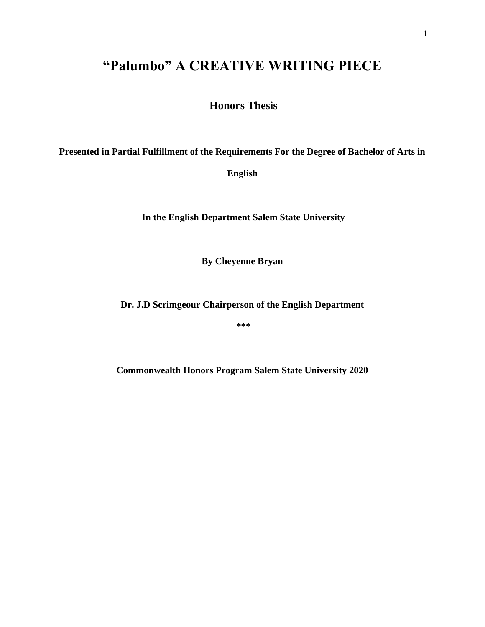## **"Palumbo" A CREATIVE WRITING PIECE**

**Honors Thesis**

**Presented in Partial Fulfillment of the Requirements For the Degree of Bachelor of Arts in** 

**English**

**In the English Department Salem State University** 

**By Cheyenne Bryan**

**Dr. J.D Scrimgeour Chairperson of the English Department**

**\*\*\*** 

**Commonwealth Honors Program Salem State University 2020**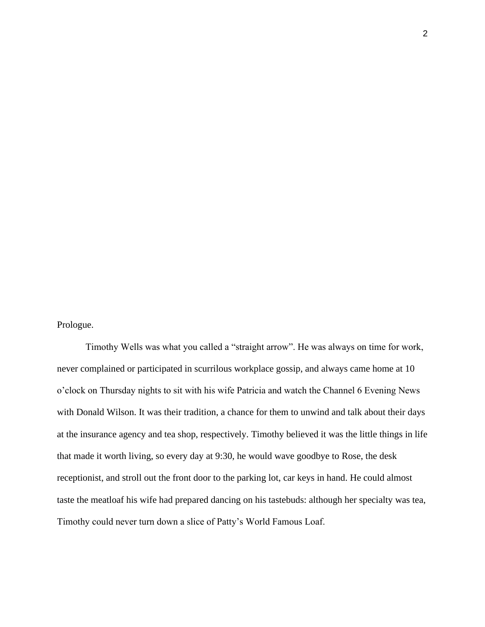Prologue.

Timothy Wells was what you called a "straight arrow". He was always on time for work, never complained or participated in scurrilous workplace gossip, and always came home at 10 o'clock on Thursday nights to sit with his wife Patricia and watch the Channel 6 Evening News with Donald Wilson. It was their tradition, a chance for them to unwind and talk about their days at the insurance agency and tea shop, respectively. Timothy believed it was the little things in life that made it worth living, so every day at 9:30, he would wave goodbye to Rose, the desk receptionist, and stroll out the front door to the parking lot, car keys in hand. He could almost taste the meatloaf his wife had prepared dancing on his tastebuds: although her specialty was tea, Timothy could never turn down a slice of Patty's World Famous Loaf.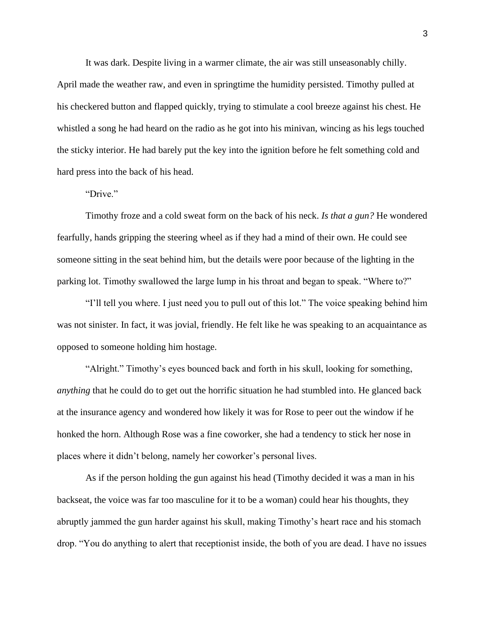It was dark. Despite living in a warmer climate, the air was still unseasonably chilly.

April made the weather raw, and even in springtime the humidity persisted. Timothy pulled at his checkered button and flapped quickly, trying to stimulate a cool breeze against his chest. He whistled a song he had heard on the radio as he got into his minivan, wincing as his legs touched the sticky interior. He had barely put the key into the ignition before he felt something cold and hard press into the back of his head.

## "Drive."

Timothy froze and a cold sweat form on the back of his neck. *Is that a gun?* He wondered fearfully, hands gripping the steering wheel as if they had a mind of their own. He could see someone sitting in the seat behind him, but the details were poor because of the lighting in the parking lot. Timothy swallowed the large lump in his throat and began to speak. "Where to?"

"I'll tell you where. I just need you to pull out of this lot." The voice speaking behind him was not sinister. In fact, it was jovial, friendly. He felt like he was speaking to an acquaintance as opposed to someone holding him hostage.

"Alright." Timothy's eyes bounced back and forth in his skull, looking for something, *anything* that he could do to get out the horrific situation he had stumbled into. He glanced back at the insurance agency and wondered how likely it was for Rose to peer out the window if he honked the horn. Although Rose was a fine coworker, she had a tendency to stick her nose in places where it didn't belong, namely her coworker's personal lives.

As if the person holding the gun against his head (Timothy decided it was a man in his backseat, the voice was far too masculine for it to be a woman) could hear his thoughts, they abruptly jammed the gun harder against his skull, making Timothy's heart race and his stomach drop. "You do anything to alert that receptionist inside, the both of you are dead. I have no issues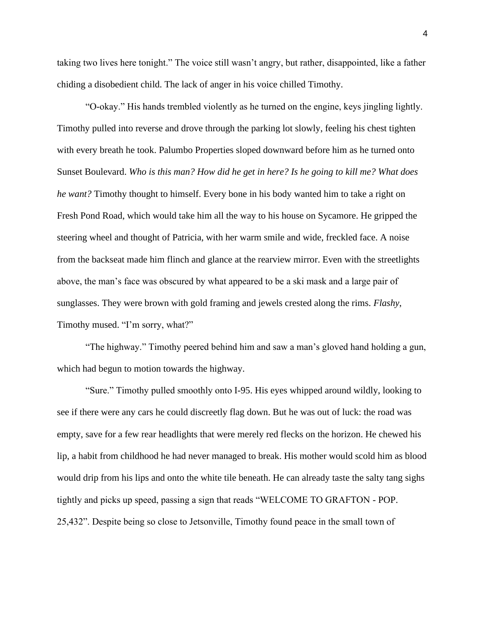taking two lives here tonight." The voice still wasn't angry, but rather, disappointed, like a father chiding a disobedient child. The lack of anger in his voice chilled Timothy.

"O-okay." His hands trembled violently as he turned on the engine, keys jingling lightly. Timothy pulled into reverse and drove through the parking lot slowly, feeling his chest tighten with every breath he took. Palumbo Properties sloped downward before him as he turned onto Sunset Boulevard. *Who is this man? How did he get in here? Is he going to kill me? What does he want?* Timothy thought to himself. Every bone in his body wanted him to take a right on Fresh Pond Road, which would take him all the way to his house on Sycamore. He gripped the steering wheel and thought of Patricia, with her warm smile and wide, freckled face. A noise from the backseat made him flinch and glance at the rearview mirror. Even with the streetlights above, the man's face was obscured by what appeared to be a ski mask and a large pair of sunglasses. They were brown with gold framing and jewels crested along the rims. *Flashy*, Timothy mused. "I'm sorry, what?"

"The highway." Timothy peered behind him and saw a man's gloved hand holding a gun, which had begun to motion towards the highway.

"Sure." Timothy pulled smoothly onto I-95. His eyes whipped around wildly, looking to see if there were any cars he could discreetly flag down. But he was out of luck: the road was empty, save for a few rear headlights that were merely red flecks on the horizon. He chewed his lip, a habit from childhood he had never managed to break. His mother would scold him as blood would drip from his lips and onto the white tile beneath. He can already taste the salty tang sighs tightly and picks up speed, passing a sign that reads "WELCOME TO GRAFTON - POP. 25,432". Despite being so close to Jetsonville, Timothy found peace in the small town of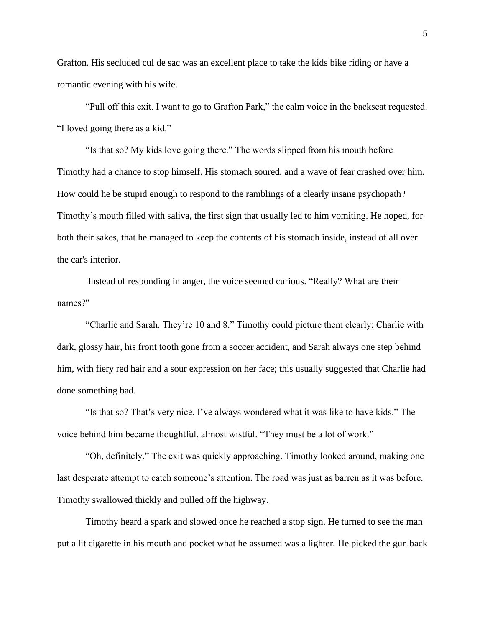Grafton. His secluded cul de sac was an excellent place to take the kids bike riding or have a romantic evening with his wife.

"Pull off this exit. I want to go to Grafton Park," the calm voice in the backseat requested. "I loved going there as a kid."

"Is that so? My kids love going there." The words slipped from his mouth before Timothy had a chance to stop himself. His stomach soured, and a wave of fear crashed over him. How could he be stupid enough to respond to the ramblings of a clearly insane psychopath? Timothy's mouth filled with saliva, the first sign that usually led to him vomiting. He hoped, for both their sakes, that he managed to keep the contents of his stomach inside, instead of all over the car's interior.

Instead of responding in anger, the voice seemed curious. "Really? What are their names?"

"Charlie and Sarah. They're 10 and 8." Timothy could picture them clearly; Charlie with dark, glossy hair, his front tooth gone from a soccer accident, and Sarah always one step behind him, with fiery red hair and a sour expression on her face; this usually suggested that Charlie had done something bad.

"Is that so? That's very nice. I've always wondered what it was like to have kids." The voice behind him became thoughtful, almost wistful. "They must be a lot of work."

"Oh, definitely." The exit was quickly approaching. Timothy looked around, making one last desperate attempt to catch someone's attention. The road was just as barren as it was before. Timothy swallowed thickly and pulled off the highway.

Timothy heard a spark and slowed once he reached a stop sign. He turned to see the man put a lit cigarette in his mouth and pocket what he assumed was a lighter. He picked the gun back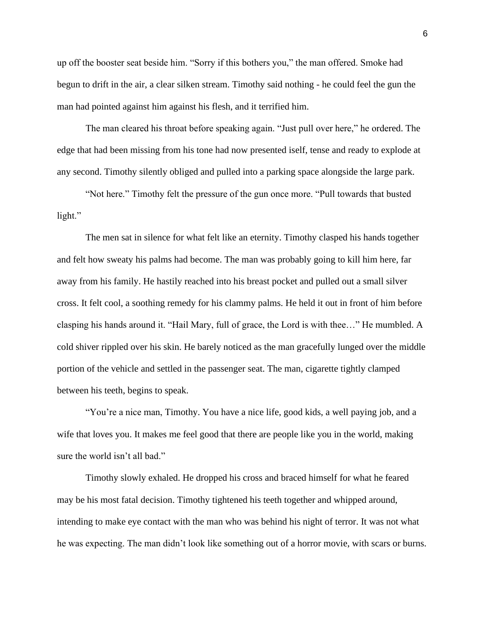up off the booster seat beside him. "Sorry if this bothers you," the man offered. Smoke had begun to drift in the air, a clear silken stream. Timothy said nothing - he could feel the gun the man had pointed against him against his flesh, and it terrified him.

The man cleared his throat before speaking again. "Just pull over here," he ordered. The edge that had been missing from his tone had now presented iself, tense and ready to explode at any second. Timothy silently obliged and pulled into a parking space alongside the large park.

"Not here." Timothy felt the pressure of the gun once more. "Pull towards that busted light."

The men sat in silence for what felt like an eternity. Timothy clasped his hands together and felt how sweaty his palms had become. The man was probably going to kill him here, far away from his family. He hastily reached into his breast pocket and pulled out a small silver cross. It felt cool, a soothing remedy for his clammy palms. He held it out in front of him before clasping his hands around it. "Hail Mary, full of grace, the Lord is with thee…" He mumbled. A cold shiver rippled over his skin. He barely noticed as the man gracefully lunged over the middle portion of the vehicle and settled in the passenger seat. The man, cigarette tightly clamped between his teeth, begins to speak.

"You're a nice man, Timothy. You have a nice life, good kids, a well paying job, and a wife that loves you. It makes me feel good that there are people like you in the world, making sure the world isn't all bad."

Timothy slowly exhaled. He dropped his cross and braced himself for what he feared may be his most fatal decision. Timothy tightened his teeth together and whipped around, intending to make eye contact with the man who was behind his night of terror. It was not what he was expecting. The man didn't look like something out of a horror movie, with scars or burns.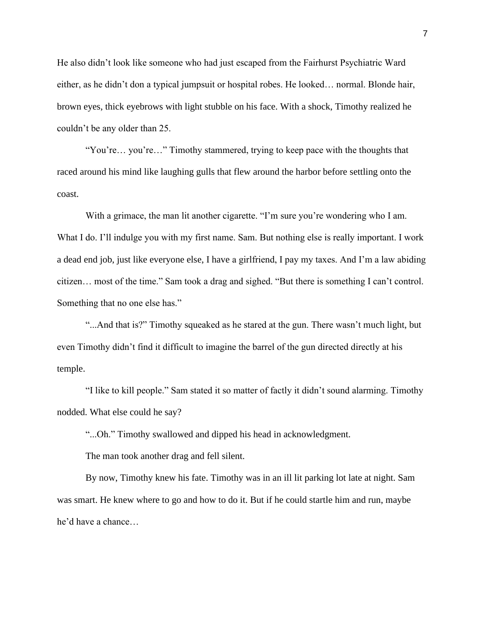He also didn't look like someone who had just escaped from the Fairhurst Psychiatric Ward either, as he didn't don a typical jumpsuit or hospital robes. He looked… normal. Blonde hair, brown eyes, thick eyebrows with light stubble on his face. With a shock, Timothy realized he couldn't be any older than 25.

"You're… you're…" Timothy stammered, trying to keep pace with the thoughts that raced around his mind like laughing gulls that flew around the harbor before settling onto the coast.

With a grimace, the man lit another cigarette. "I'm sure you're wondering who I am. What I do. I'll indulge you with my first name. Sam. But nothing else is really important. I work a dead end job, just like everyone else, I have a girlfriend, I pay my taxes. And I'm a law abiding citizen… most of the time." Sam took a drag and sighed. "But there is something I can't control. Something that no one else has."

"...And that is?" Timothy squeaked as he stared at the gun. There wasn't much light, but even Timothy didn't find it difficult to imagine the barrel of the gun directed directly at his temple.

"I like to kill people." Sam stated it so matter of factly it didn't sound alarming. Timothy nodded. What else could he say?

"...Oh." Timothy swallowed and dipped his head in acknowledgment.

The man took another drag and fell silent.

By now, Timothy knew his fate. Timothy was in an ill lit parking lot late at night. Sam was smart. He knew where to go and how to do it. But if he could startle him and run, maybe he'd have a chance…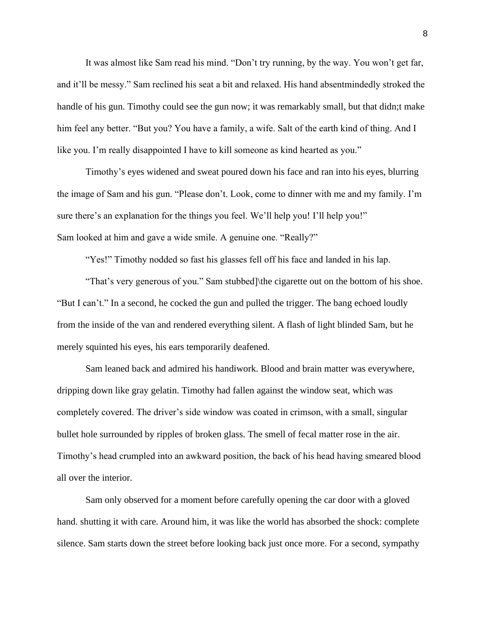It was almost like Sam read his mind. "Don't try running, by the way. You won't get far, and it'll be messy." Sam reclined his seat a bit and relaxed. His hand absentmindedly stroked the handle of his gun. Timothy could see the gun now; it was remarkably small, but that didn; t make him feel any better. "But you? You have a family, a wife. Salt of the earth kind of thing. And I like you. I'm really disappointed I have to kill someone as kind hearted as you."

Timothy's eyes widened and sweat poured down his face and ran into his eyes, blurring the image of Sam and his gun. "Please don't. Look, come to dinner with me and my family. I'm sure there's an explanation for the things you feel. We'll help you! I'll help you!" Sam looked at him and gave a wide smile. A genuine one. "Really?"

"Yes!" Timothy nodded so fast his glasses fell off his face and landed in his lap.

"That's very generous of you." Sam stubbed]\the cigarette out on the bottom of his shoe. "But I can't." In a second, he cocked the gun and pulled the trigger. The bang echoed loudly from the inside of the van and rendered everything silent. A flash of light blinded Sam, but he merely squinted his eyes, his ears temporarily deafened.

Sam leaned back and admired his handiwork. Blood and brain matter was everywhere, dripping down like gray gelatin. Timothy had fallen against the window seat, which was completely covered. The driver's side window was coated in crimson, with a small, singular bullet hole surrounded by ripples of broken glass. The smell of fecal matter rose in the air. Timothy's head crumpled into an awkward position, the back of his head having smeared blood all over the interior.

Sam only observed for a moment before carefully opening the car door with a gloved hand. shutting it with care. Around him, it was like the world has absorbed the shock: complete silence. Sam starts down the street before looking back just once more. For a second, sympathy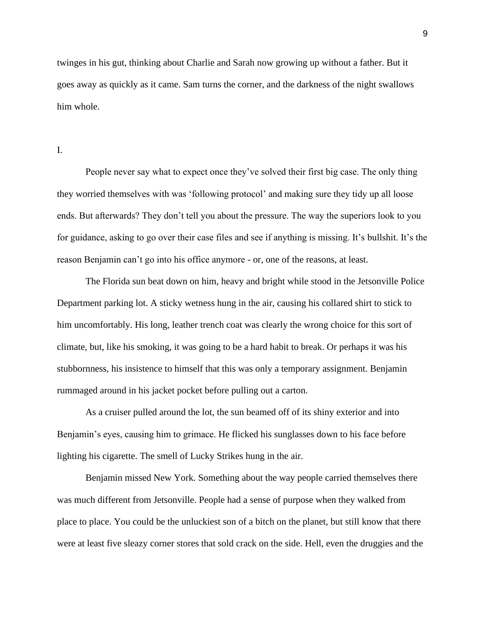twinges in his gut, thinking about Charlie and Sarah now growing up without a father. But it goes away as quickly as it came. Sam turns the corner, and the darkness of the night swallows him whole.

I.

People never say what to expect once they've solved their first big case. The only thing they worried themselves with was 'following protocol' and making sure they tidy up all loose ends. But afterwards? They don't tell you about the pressure. The way the superiors look to you for guidance, asking to go over their case files and see if anything is missing. It's bullshit. It's the reason Benjamin can't go into his office anymore - or, one of the reasons, at least.

The Florida sun beat down on him, heavy and bright while stood in the Jetsonville Police Department parking lot. A sticky wetness hung in the air, causing his collared shirt to stick to him uncomfortably. His long, leather trench coat was clearly the wrong choice for this sort of climate, but, like his smoking, it was going to be a hard habit to break. Or perhaps it was his stubbornness, his insistence to himself that this was only a temporary assignment. Benjamin rummaged around in his jacket pocket before pulling out a carton.

As a cruiser pulled around the lot, the sun beamed off of its shiny exterior and into Benjamin's eyes, causing him to grimace. He flicked his sunglasses down to his face before lighting his cigarette. The smell of Lucky Strikes hung in the air.

Benjamin missed New York. Something about the way people carried themselves there was much different from Jetsonville. People had a sense of purpose when they walked from place to place. You could be the unluckiest son of a bitch on the planet, but still know that there were at least five sleazy corner stores that sold crack on the side. Hell, even the druggies and the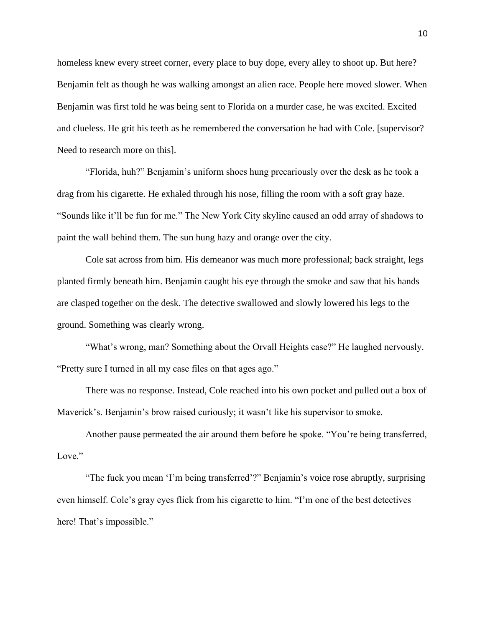homeless knew every street corner, every place to buy dope, every alley to shoot up. But here? Benjamin felt as though he was walking amongst an alien race. People here moved slower. When Benjamin was first told he was being sent to Florida on a murder case, he was excited. Excited and clueless. He grit his teeth as he remembered the conversation he had with Cole. [supervisor? Need to research more on this].

"Florida, huh?" Benjamin's uniform shoes hung precariously over the desk as he took a drag from his cigarette. He exhaled through his nose, filling the room with a soft gray haze. "Sounds like it'll be fun for me." The New York City skyline caused an odd array of shadows to paint the wall behind them. The sun hung hazy and orange over the city.

Cole sat across from him. His demeanor was much more professional; back straight, legs planted firmly beneath him. Benjamin caught his eye through the smoke and saw that his hands are clasped together on the desk. The detective swallowed and slowly lowered his legs to the ground. Something was clearly wrong.

"What's wrong, man? Something about the Orvall Heights case?" He laughed nervously. "Pretty sure I turned in all my case files on that ages ago."

There was no response. Instead, Cole reached into his own pocket and pulled out a box of Maverick's. Benjamin's brow raised curiously; it wasn't like his supervisor to smoke.

Another pause permeated the air around them before he spoke. "You're being transferred, Love."

"The fuck you mean 'I'm being transferred'?" Benjamin's voice rose abruptly, surprising even himself. Cole's gray eyes flick from his cigarette to him. "I'm one of the best detectives here! That's impossible."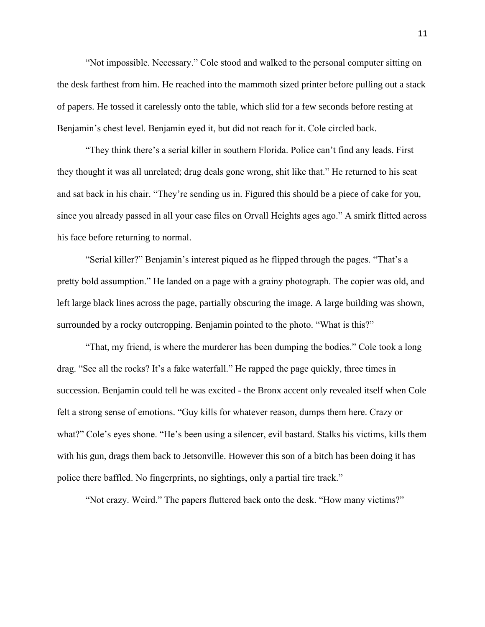"Not impossible. Necessary." Cole stood and walked to the personal computer sitting on the desk farthest from him. He reached into the mammoth sized printer before pulling out a stack of papers. He tossed it carelessly onto the table, which slid for a few seconds before resting at Benjamin's chest level. Benjamin eyed it, but did not reach for it. Cole circled back.

"They think there's a serial killer in southern Florida. Police can't find any leads. First they thought it was all unrelated; drug deals gone wrong, shit like that." He returned to his seat and sat back in his chair. "They're sending us in. Figured this should be a piece of cake for you, since you already passed in all your case files on Orvall Heights ages ago." A smirk flitted across his face before returning to normal.

"Serial killer?" Benjamin's interest piqued as he flipped through the pages. "That's a pretty bold assumption." He landed on a page with a grainy photograph. The copier was old, and left large black lines across the page, partially obscuring the image. A large building was shown, surrounded by a rocky outcropping. Benjamin pointed to the photo. "What is this?"

"That, my friend, is where the murderer has been dumping the bodies." Cole took a long drag. "See all the rocks? It's a fake waterfall." He rapped the page quickly, three times in succession. Benjamin could tell he was excited - the Bronx accent only revealed itself when Cole felt a strong sense of emotions. "Guy kills for whatever reason, dumps them here. Crazy or what?" Cole's eyes shone. "He's been using a silencer, evil bastard. Stalks his victims, kills them with his gun, drags them back to Jetsonville. However this son of a bitch has been doing it has police there baffled. No fingerprints, no sightings, only a partial tire track."

"Not crazy. Weird." The papers fluttered back onto the desk. "How many victims?"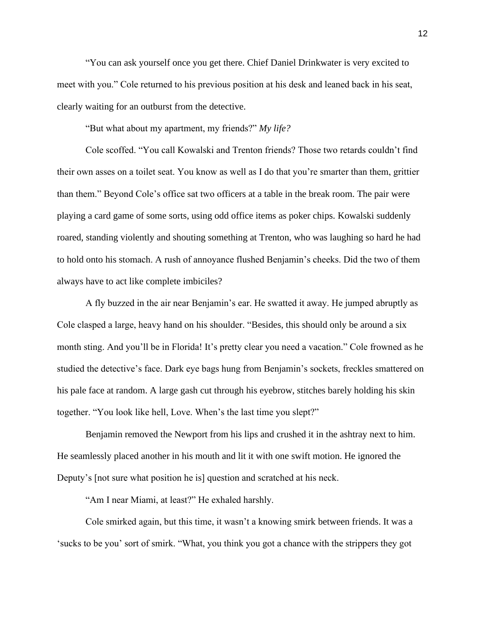"You can ask yourself once you get there. Chief Daniel Drinkwater is very excited to meet with you." Cole returned to his previous position at his desk and leaned back in his seat, clearly waiting for an outburst from the detective.

"But what about my apartment, my friends?" *My life?*

Cole scoffed. "You call Kowalski and Trenton friends? Those two retards couldn't find their own asses on a toilet seat. You know as well as I do that you're smarter than them, grittier than them." Beyond Cole's office sat two officers at a table in the break room. The pair were playing a card game of some sorts, using odd office items as poker chips. Kowalski suddenly roared, standing violently and shouting something at Trenton, who was laughing so hard he had to hold onto his stomach. A rush of annoyance flushed Benjamin's cheeks. Did the two of them always have to act like complete imbiciles?

A fly buzzed in the air near Benjamin's ear. He swatted it away. He jumped abruptly as Cole clasped a large, heavy hand on his shoulder. "Besides, this should only be around a six month sting. And you'll be in Florida! It's pretty clear you need a vacation." Cole frowned as he studied the detective's face. Dark eye bags hung from Benjamin's sockets, freckles smattered on his pale face at random. A large gash cut through his eyebrow, stitches barely holding his skin together. "You look like hell, Love. When's the last time you slept?"

Benjamin removed the Newport from his lips and crushed it in the ashtray next to him. He seamlessly placed another in his mouth and lit it with one swift motion. He ignored the Deputy's [not sure what position he is] question and scratched at his neck.

"Am I near Miami, at least?" He exhaled harshly.

Cole smirked again, but this time, it wasn't a knowing smirk between friends. It was a 'sucks to be you' sort of smirk. "What, you think you got a chance with the strippers they got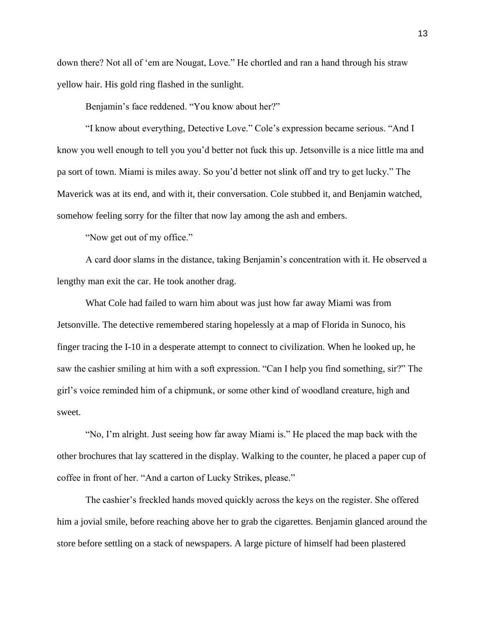down there? Not all of 'em are Nougat, Love." He chortled and ran a hand through his straw yellow hair. His gold ring flashed in the sunlight.

Benjamin's face reddened. "You know about her?"

"I know about everything, Detective Love." Cole's expression became serious. "And I know you well enough to tell you you'd better not fuck this up. Jetsonville is a nice little ma and pa sort of town. Miami is miles away. So you'd better not slink off and try to get lucky." The Maverick was at its end, and with it, their conversation. Cole stubbed it, and Benjamin watched, somehow feeling sorry for the filter that now lay among the ash and embers.

"Now get out of my office."

A card door slams in the distance, taking Benjamin's concentration with it. He observed a lengthy man exit the car. He took another drag.

What Cole had failed to warn him about was just how far away Miami was from Jetsonville. The detective remembered staring hopelessly at a map of Florida in Sunoco, his finger tracing the I-10 in a desperate attempt to connect to civilization. When he looked up, he saw the cashier smiling at him with a soft expression. "Can I help you find something, sir?" The girl's voice reminded him of a chipmunk, or some other kind of woodland creature, high and sweet.

"No, I'm alright. Just seeing how far away Miami is." He placed the map back with the other brochures that lay scattered in the display. Walking to the counter, he placed a paper cup of coffee in front of her. "And a carton of Lucky Strikes, please."

The cashier's freckled hands moved quickly across the keys on the register. She offered him a jovial smile, before reaching above her to grab the cigarettes. Benjamin glanced around the store before settling on a stack of newspapers. A large picture of himself had been plastered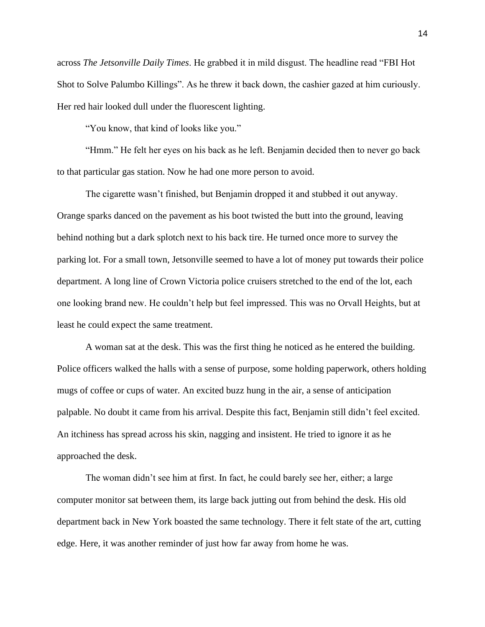across *The Jetsonville Daily Times*. He grabbed it in mild disgust. The headline read "FBI Hot Shot to Solve Palumbo Killings". As he threw it back down, the cashier gazed at him curiously. Her red hair looked dull under the fluorescent lighting.

"You know, that kind of looks like you."

"Hmm." He felt her eyes on his back as he left. Benjamin decided then to never go back to that particular gas station. Now he had one more person to avoid.

The cigarette wasn't finished, but Benjamin dropped it and stubbed it out anyway. Orange sparks danced on the pavement as his boot twisted the butt into the ground, leaving behind nothing but a dark splotch next to his back tire. He turned once more to survey the parking lot. For a small town, Jetsonville seemed to have a lot of money put towards their police department. A long line of Crown Victoria police cruisers stretched to the end of the lot, each one looking brand new. He couldn't help but feel impressed. This was no Orvall Heights, but at least he could expect the same treatment.

A woman sat at the desk. This was the first thing he noticed as he entered the building. Police officers walked the halls with a sense of purpose, some holding paperwork, others holding mugs of coffee or cups of water. An excited buzz hung in the air, a sense of anticipation palpable. No doubt it came from his arrival. Despite this fact, Benjamin still didn't feel excited. An itchiness has spread across his skin, nagging and insistent. He tried to ignore it as he approached the desk.

The woman didn't see him at first. In fact, he could barely see her, either; a large computer monitor sat between them, its large back jutting out from behind the desk. His old department back in New York boasted the same technology. There it felt state of the art, cutting edge. Here, it was another reminder of just how far away from home he was.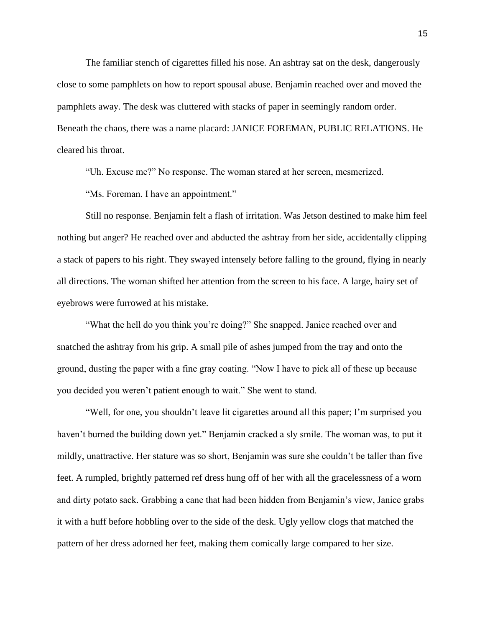The familiar stench of cigarettes filled his nose. An ashtray sat on the desk, dangerously close to some pamphlets on how to report spousal abuse. Benjamin reached over and moved the pamphlets away. The desk was cluttered with stacks of paper in seemingly random order. Beneath the chaos, there was a name placard: JANICE FOREMAN, PUBLIC RELATIONS. He cleared his throat.

"Uh. Excuse me?" No response. The woman stared at her screen, mesmerized.

"Ms. Foreman. I have an appointment."

Still no response. Benjamin felt a flash of irritation. Was Jetson destined to make him feel nothing but anger? He reached over and abducted the ashtray from her side, accidentally clipping a stack of papers to his right. They swayed intensely before falling to the ground, flying in nearly all directions. The woman shifted her attention from the screen to his face. A large, hairy set of eyebrows were furrowed at his mistake.

"What the hell do you think you're doing?" She snapped. Janice reached over and snatched the ashtray from his grip. A small pile of ashes jumped from the tray and onto the ground, dusting the paper with a fine gray coating. "Now I have to pick all of these up because you decided you weren't patient enough to wait." She went to stand.

"Well, for one, you shouldn't leave lit cigarettes around all this paper; I'm surprised you haven't burned the building down yet." Benjamin cracked a sly smile. The woman was, to put it mildly, unattractive. Her stature was so short, Benjamin was sure she couldn't be taller than five feet. A rumpled, brightly patterned ref dress hung off of her with all the gracelessness of a worn and dirty potato sack. Grabbing a cane that had been hidden from Benjamin's view, Janice grabs it with a huff before hobbling over to the side of the desk. Ugly yellow clogs that matched the pattern of her dress adorned her feet, making them comically large compared to her size.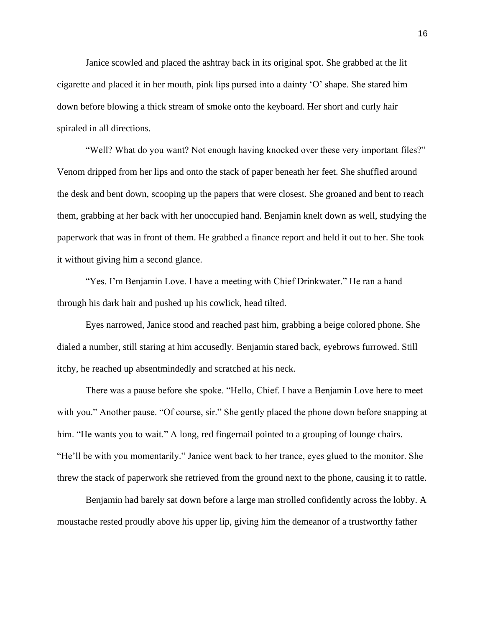Janice scowled and placed the ashtray back in its original spot. She grabbed at the lit cigarette and placed it in her mouth, pink lips pursed into a dainty 'O' shape. She stared him down before blowing a thick stream of smoke onto the keyboard. Her short and curly hair spiraled in all directions.

"Well? What do you want? Not enough having knocked over these very important files?" Venom dripped from her lips and onto the stack of paper beneath her feet. She shuffled around the desk and bent down, scooping up the papers that were closest. She groaned and bent to reach them, grabbing at her back with her unoccupied hand. Benjamin knelt down as well, studying the paperwork that was in front of them. He grabbed a finance report and held it out to her. She took it without giving him a second glance.

"Yes. I'm Benjamin Love. I have a meeting with Chief Drinkwater." He ran a hand through his dark hair and pushed up his cowlick, head tilted.

Eyes narrowed, Janice stood and reached past him, grabbing a beige colored phone. She dialed a number, still staring at him accusedly. Benjamin stared back, eyebrows furrowed. Still itchy, he reached up absentmindedly and scratched at his neck.

There was a pause before she spoke. "Hello, Chief. I have a Benjamin Love here to meet with you." Another pause. "Of course, sir." She gently placed the phone down before snapping at him. "He wants you to wait." A long, red fingernail pointed to a grouping of lounge chairs. "He'll be with you momentarily." Janice went back to her trance, eyes glued to the monitor. She threw the stack of paperwork she retrieved from the ground next to the phone, causing it to rattle.

Benjamin had barely sat down before a large man strolled confidently across the lobby. A moustache rested proudly above his upper lip, giving him the demeanor of a trustworthy father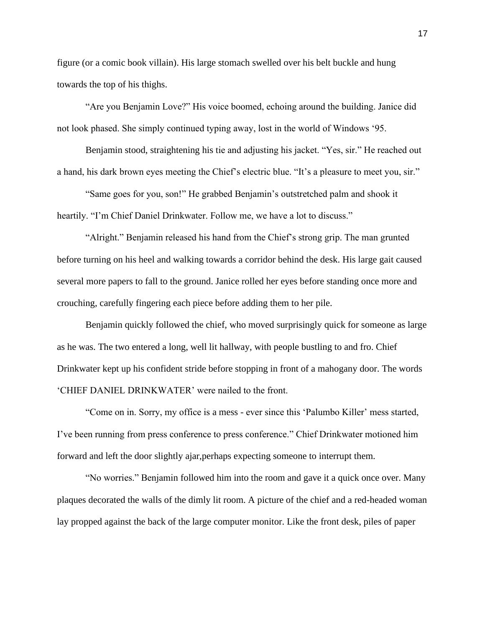figure (or a comic book villain). His large stomach swelled over his belt buckle and hung towards the top of his thighs.

"Are you Benjamin Love?" His voice boomed, echoing around the building. Janice did not look phased. She simply continued typing away, lost in the world of Windows '95.

Benjamin stood, straightening his tie and adjusting his jacket. "Yes, sir." He reached out a hand, his dark brown eyes meeting the Chief's electric blue. "It's a pleasure to meet you, sir."

"Same goes for you, son!" He grabbed Benjamin's outstretched palm and shook it heartily. "I'm Chief Daniel Drinkwater. Follow me, we have a lot to discuss."

"Alright." Benjamin released his hand from the Chief's strong grip. The man grunted before turning on his heel and walking towards a corridor behind the desk. His large gait caused several more papers to fall to the ground. Janice rolled her eyes before standing once more and crouching, carefully fingering each piece before adding them to her pile.

Benjamin quickly followed the chief, who moved surprisingly quick for someone as large as he was. The two entered a long, well lit hallway, with people bustling to and fro. Chief Drinkwater kept up his confident stride before stopping in front of a mahogany door. The words 'CHIEF DANIEL DRINKWATER' were nailed to the front.

"Come on in. Sorry, my office is a mess - ever since this 'Palumbo Killer' mess started, I've been running from press conference to press conference." Chief Drinkwater motioned him forward and left the door slightly ajar,perhaps expecting someone to interrupt them.

"No worries." Benjamin followed him into the room and gave it a quick once over. Many plaques decorated the walls of the dimly lit room. A picture of the chief and a red-headed woman lay propped against the back of the large computer monitor. Like the front desk, piles of paper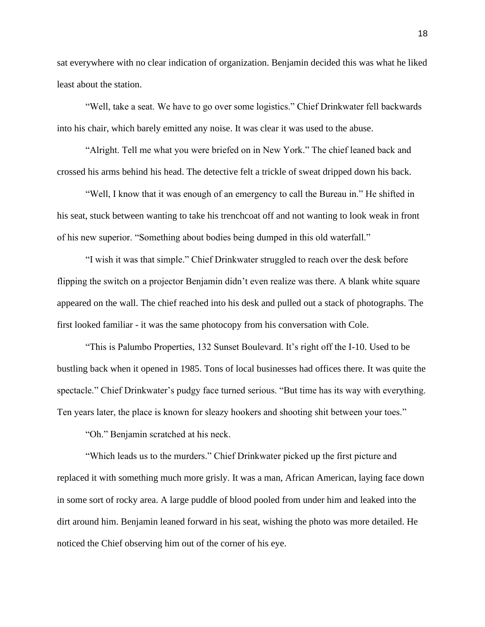sat everywhere with no clear indication of organization. Benjamin decided this was what he liked least about the station.

"Well, take a seat. We have to go over some logistics." Chief Drinkwater fell backwards into his chair, which barely emitted any noise. It was clear it was used to the abuse.

"Alright. Tell me what you were briefed on in New York." The chief leaned back and crossed his arms behind his head. The detective felt a trickle of sweat dripped down his back.

"Well, I know that it was enough of an emergency to call the Bureau in." He shifted in his seat, stuck between wanting to take his trenchcoat off and not wanting to look weak in front of his new superior. "Something about bodies being dumped in this old waterfall."

"I wish it was that simple." Chief Drinkwater struggled to reach over the desk before flipping the switch on a projector Benjamin didn't even realize was there. A blank white square appeared on the wall. The chief reached into his desk and pulled out a stack of photographs. The first looked familiar - it was the same photocopy from his conversation with Cole.

"This is Palumbo Properties, 132 Sunset Boulevard. It's right off the I-10. Used to be bustling back when it opened in 1985. Tons of local businesses had offices there. It was quite the spectacle." Chief Drinkwater's pudgy face turned serious. "But time has its way with everything. Ten years later, the place is known for sleazy hookers and shooting shit between your toes."

"Oh." Benjamin scratched at his neck.

"Which leads us to the murders." Chief Drinkwater picked up the first picture and replaced it with something much more grisly. It was a man, African American, laying face down in some sort of rocky area. A large puddle of blood pooled from under him and leaked into the dirt around him. Benjamin leaned forward in his seat, wishing the photo was more detailed. He noticed the Chief observing him out of the corner of his eye.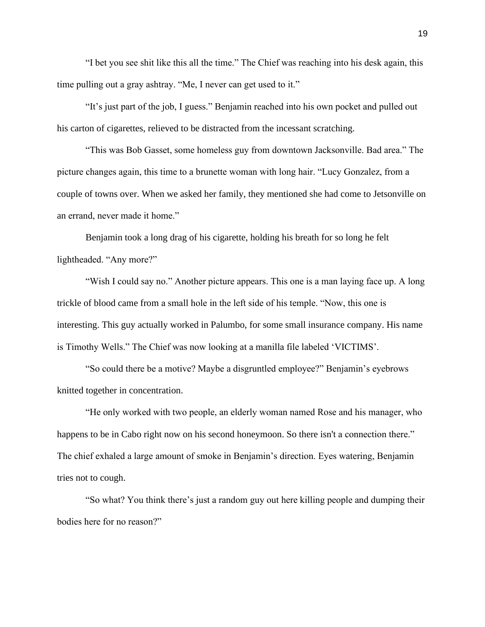"I bet you see shit like this all the time." The Chief was reaching into his desk again, this time pulling out a gray ashtray. "Me, I never can get used to it."

"It's just part of the job, I guess." Benjamin reached into his own pocket and pulled out his carton of cigarettes, relieved to be distracted from the incessant scratching.

"This was Bob Gasset, some homeless guy from downtown Jacksonville. Bad area." The picture changes again, this time to a brunette woman with long hair. "Lucy Gonzalez, from a couple of towns over. When we asked her family, they mentioned she had come to Jetsonville on an errand, never made it home."

Benjamin took a long drag of his cigarette, holding his breath for so long he felt lightheaded. "Any more?"

"Wish I could say no." Another picture appears. This one is a man laying face up. A long trickle of blood came from a small hole in the left side of his temple. "Now, this one is interesting. This guy actually worked in Palumbo, for some small insurance company. His name is Timothy Wells." The Chief was now looking at a manilla file labeled 'VICTIMS'.

"So could there be a motive? Maybe a disgruntled employee?" Benjamin's eyebrows knitted together in concentration.

"He only worked with two people, an elderly woman named Rose and his manager, who happens to be in Cabo right now on his second honeymoon. So there isn't a connection there." The chief exhaled a large amount of smoke in Benjamin's direction. Eyes watering, Benjamin tries not to cough.

"So what? You think there's just a random guy out here killing people and dumping their bodies here for no reason?"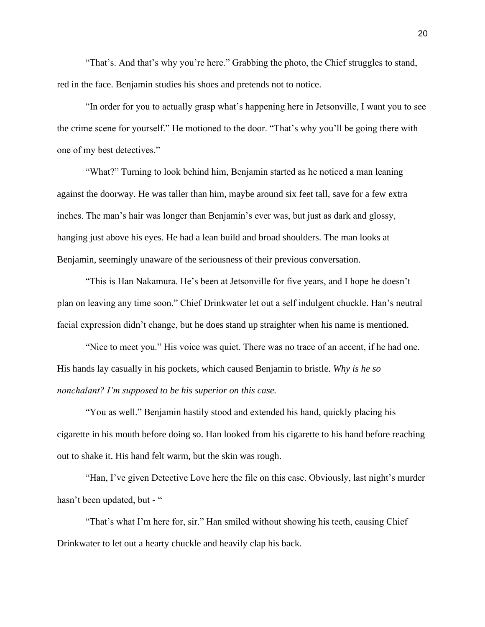"That's. And that's why you're here." Grabbing the photo, the Chief struggles to stand, red in the face. Benjamin studies his shoes and pretends not to notice.

"In order for you to actually grasp what's happening here in Jetsonville, I want you to see the crime scene for yourself." He motioned to the door. "That's why you'll be going there with one of my best detectives."

"What?" Turning to look behind him, Benjamin started as he noticed a man leaning against the doorway. He was taller than him, maybe around six feet tall, save for a few extra inches. The man's hair was longer than Benjamin's ever was, but just as dark and glossy, hanging just above his eyes. He had a lean build and broad shoulders. The man looks at Benjamin, seemingly unaware of the seriousness of their previous conversation.

"This is Han Nakamura. He's been at Jetsonville for five years, and I hope he doesn't plan on leaving any time soon." Chief Drinkwater let out a self indulgent chuckle. Han's neutral facial expression didn't change, but he does stand up straighter when his name is mentioned.

"Nice to meet you." His voice was quiet. There was no trace of an accent, if he had one. His hands lay casually in his pockets, which caused Benjamin to bristle. *Why is he so nonchalant? I'm supposed to be his superior on this case.*

"You as well." Benjamin hastily stood and extended his hand, quickly placing his cigarette in his mouth before doing so. Han looked from his cigarette to his hand before reaching out to shake it. His hand felt warm, but the skin was rough.

"Han, I've given Detective Love here the file on this case. Obviously, last night's murder hasn't been updated, but - "

"That's what I'm here for, sir." Han smiled without showing his teeth, causing Chief Drinkwater to let out a hearty chuckle and heavily clap his back.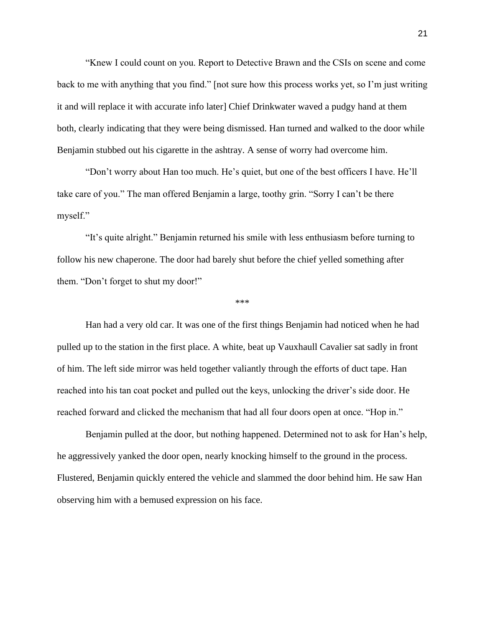"Knew I could count on you. Report to Detective Brawn and the CSIs on scene and come back to me with anything that you find." [not sure how this process works yet, so I'm just writing it and will replace it with accurate info later] Chief Drinkwater waved a pudgy hand at them both, clearly indicating that they were being dismissed. Han turned and walked to the door while Benjamin stubbed out his cigarette in the ashtray. A sense of worry had overcome him.

"Don't worry about Han too much. He's quiet, but one of the best officers I have. He'll take care of you." The man offered Benjamin a large, toothy grin. "Sorry I can't be there myself."

"It's quite alright." Benjamin returned his smile with less enthusiasm before turning to follow his new chaperone. The door had barely shut before the chief yelled something after them. "Don't forget to shut my door!"

\*\*\*

Han had a very old car. It was one of the first things Benjamin had noticed when he had pulled up to the station in the first place. A white, beat up Vauxhaull Cavalier sat sadly in front of him. The left side mirror was held together valiantly through the efforts of duct tape. Han reached into his tan coat pocket and pulled out the keys, unlocking the driver's side door. He reached forward and clicked the mechanism that had all four doors open at once. "Hop in."

Benjamin pulled at the door, but nothing happened. Determined not to ask for Han's help, he aggressively yanked the door open, nearly knocking himself to the ground in the process. Flustered, Benjamin quickly entered the vehicle and slammed the door behind him. He saw Han observing him with a bemused expression on his face.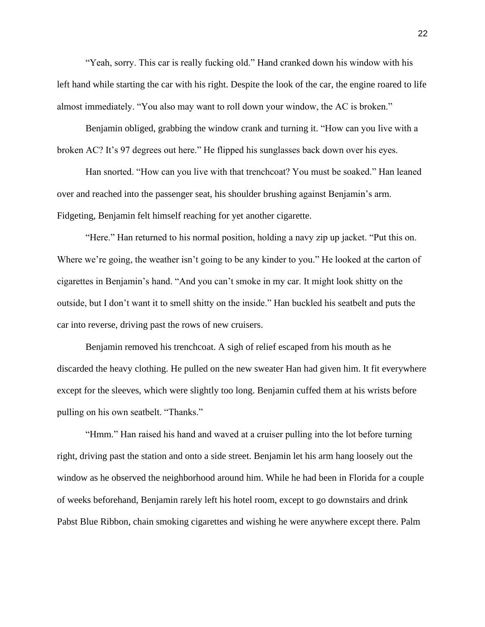"Yeah, sorry. This car is really fucking old." Hand cranked down his window with his left hand while starting the car with his right. Despite the look of the car, the engine roared to life almost immediately. "You also may want to roll down your window, the AC is broken."

Benjamin obliged, grabbing the window crank and turning it. "How can you live with a broken AC? It's 97 degrees out here." He flipped his sunglasses back down over his eyes.

Han snorted. "How can you live with that trenchcoat? You must be soaked." Han leaned over and reached into the passenger seat, his shoulder brushing against Benjamin's arm. Fidgeting, Benjamin felt himself reaching for yet another cigarette.

"Here." Han returned to his normal position, holding a navy zip up jacket. "Put this on. Where we're going, the weather isn't going to be any kinder to you." He looked at the carton of cigarettes in Benjamin's hand. "And you can't smoke in my car. It might look shitty on the outside, but I don't want it to smell shitty on the inside." Han buckled his seatbelt and puts the car into reverse, driving past the rows of new cruisers.

Benjamin removed his trenchcoat. A sigh of relief escaped from his mouth as he discarded the heavy clothing. He pulled on the new sweater Han had given him. It fit everywhere except for the sleeves, which were slightly too long. Benjamin cuffed them at his wrists before pulling on his own seatbelt. "Thanks."

"Hmm." Han raised his hand and waved at a cruiser pulling into the lot before turning right, driving past the station and onto a side street. Benjamin let his arm hang loosely out the window as he observed the neighborhood around him. While he had been in Florida for a couple of weeks beforehand, Benjamin rarely left his hotel room, except to go downstairs and drink Pabst Blue Ribbon, chain smoking cigarettes and wishing he were anywhere except there. Palm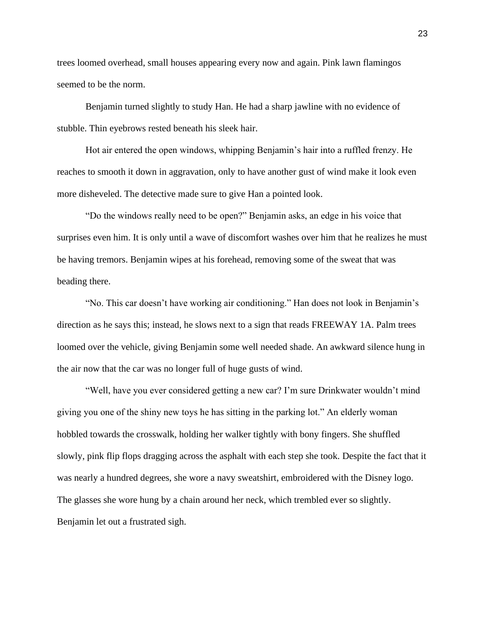trees loomed overhead, small houses appearing every now and again. Pink lawn flamingos seemed to be the norm.

Benjamin turned slightly to study Han. He had a sharp jawline with no evidence of stubble. Thin eyebrows rested beneath his sleek hair.

Hot air entered the open windows, whipping Benjamin's hair into a ruffled frenzy. He reaches to smooth it down in aggravation, only to have another gust of wind make it look even more disheveled. The detective made sure to give Han a pointed look.

"Do the windows really need to be open?" Benjamin asks, an edge in his voice that surprises even him. It is only until a wave of discomfort washes over him that he realizes he must be having tremors. Benjamin wipes at his forehead, removing some of the sweat that was beading there.

"No. This car doesn't have working air conditioning." Han does not look in Benjamin's direction as he says this; instead, he slows next to a sign that reads FREEWAY 1A. Palm trees loomed over the vehicle, giving Benjamin some well needed shade. An awkward silence hung in the air now that the car was no longer full of huge gusts of wind.

"Well, have you ever considered getting a new car? I'm sure Drinkwater wouldn't mind giving you one of the shiny new toys he has sitting in the parking lot." An elderly woman hobbled towards the crosswalk, holding her walker tightly with bony fingers. She shuffled slowly, pink flip flops dragging across the asphalt with each step she took. Despite the fact that it was nearly a hundred degrees, she wore a navy sweatshirt, embroidered with the Disney logo. The glasses she wore hung by a chain around her neck, which trembled ever so slightly. Benjamin let out a frustrated sigh.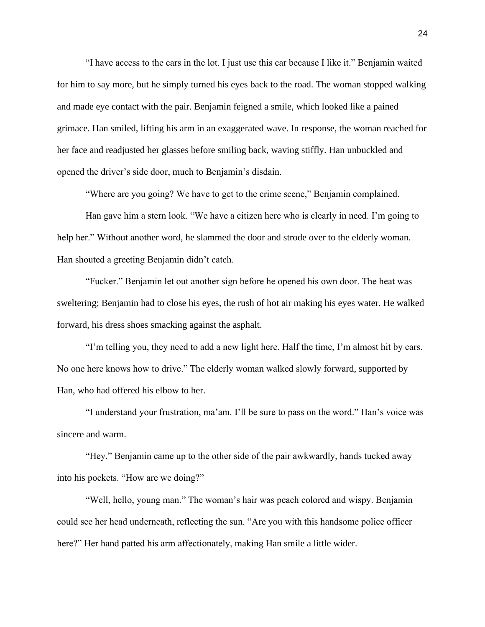"I have access to the cars in the lot. I just use this car because I like it." Benjamin waited for him to say more, but he simply turned his eyes back to the road. The woman stopped walking and made eye contact with the pair. Benjamin feigned a smile, which looked like a pained grimace. Han smiled, lifting his arm in an exaggerated wave. In response, the woman reached for her face and readjusted her glasses before smiling back, waving stiffly. Han unbuckled and opened the driver's side door, much to Benjamin's disdain.

"Where are you going? We have to get to the crime scene," Benjamin complained.

Han gave him a stern look. "We have a citizen here who is clearly in need. I'm going to help her." Without another word, he slammed the door and strode over to the elderly woman. Han shouted a greeting Benjamin didn't catch.

"Fucker." Benjamin let out another sign before he opened his own door. The heat was sweltering; Benjamin had to close his eyes, the rush of hot air making his eyes water. He walked forward, his dress shoes smacking against the asphalt.

"I'm telling you, they need to add a new light here. Half the time, I'm almost hit by cars. No one here knows how to drive." The elderly woman walked slowly forward, supported by Han, who had offered his elbow to her.

"I understand your frustration, ma'am. I'll be sure to pass on the word." Han's voice was sincere and warm.

"Hey." Benjamin came up to the other side of the pair awkwardly, hands tucked away into his pockets. "How are we doing?"

"Well, hello, young man." The woman's hair was peach colored and wispy. Benjamin could see her head underneath, reflecting the sun. "Are you with this handsome police officer here?" Her hand patted his arm affectionately, making Han smile a little wider.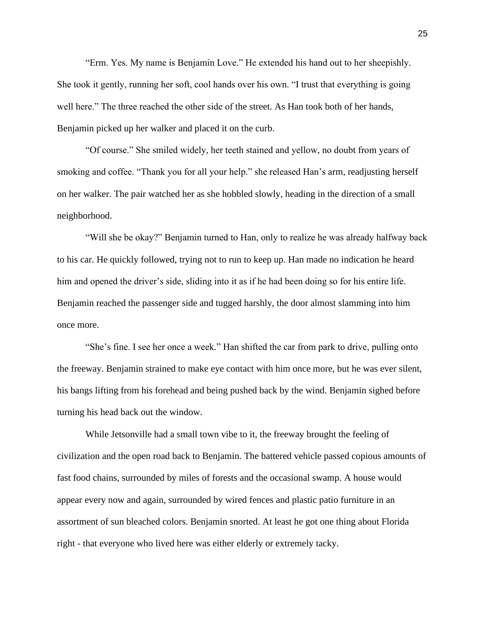"Erm. Yes. My name is Benjamin Love." He extended his hand out to her sheepishly. She took it gently, running her soft, cool hands over his own. "I trust that everything is going well here." The three reached the other side of the street. As Han took both of her hands, Benjamin picked up her walker and placed it on the curb.

"Of course." She smiled widely, her teeth stained and yellow, no doubt from years of smoking and coffee. "Thank you for all your help." she released Han's arm, readjusting herself on her walker. The pair watched her as she hobbled slowly, heading in the direction of a small neighborhood.

"Will she be okay?" Benjamin turned to Han, only to realize he was already halfway back to his car. He quickly followed, trying not to run to keep up. Han made no indication he heard him and opened the driver's side, sliding into it as if he had been doing so for his entire life. Benjamin reached the passenger side and tugged harshly, the door almost slamming into him once more.

"She's fine. I see her once a week." Han shifted the car from park to drive, pulling onto the freeway. Benjamin strained to make eye contact with him once more, but he was ever silent, his bangs lifting from his forehead and being pushed back by the wind. Benjamin sighed before turning his head back out the window.

While Jetsonville had a small town vibe to it, the freeway brought the feeling of civilization and the open road back to Benjamin. The battered vehicle passed copious amounts of fast food chains, surrounded by miles of forests and the occasional swamp. A house would appear every now and again, surrounded by wired fences and plastic patio furniture in an assortment of sun bleached colors. Benjamin snorted. At least he got one thing about Florida right - that everyone who lived here was either elderly or extremely tacky.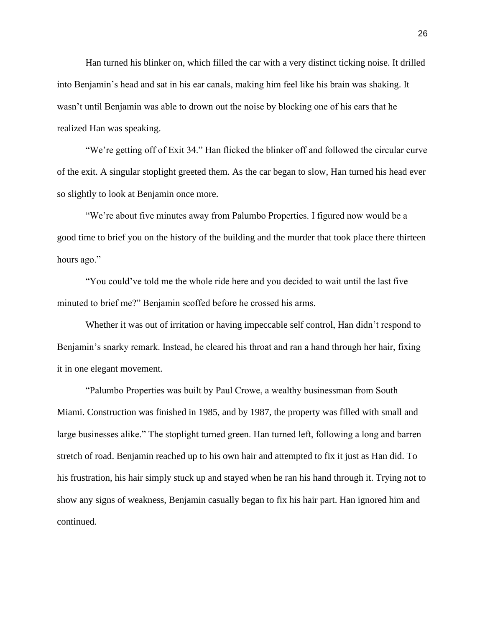Han turned his blinker on, which filled the car with a very distinct ticking noise. It drilled into Benjamin's head and sat in his ear canals, making him feel like his brain was shaking. It wasn't until Benjamin was able to drown out the noise by blocking one of his ears that he realized Han was speaking.

"We're getting off of Exit 34." Han flicked the blinker off and followed the circular curve of the exit. A singular stoplight greeted them. As the car began to slow, Han turned his head ever so slightly to look at Benjamin once more.

"We're about five minutes away from Palumbo Properties. I figured now would be a good time to brief you on the history of the building and the murder that took place there thirteen hours ago."

"You could've told me the whole ride here and you decided to wait until the last five minuted to brief me?" Benjamin scoffed before he crossed his arms.

Whether it was out of irritation or having impeccable self control, Han didn't respond to Benjamin's snarky remark. Instead, he cleared his throat and ran a hand through her hair, fixing it in one elegant movement.

"Palumbo Properties was built by Paul Crowe, a wealthy businessman from South Miami. Construction was finished in 1985, and by 1987, the property was filled with small and large businesses alike." The stoplight turned green. Han turned left, following a long and barren stretch of road. Benjamin reached up to his own hair and attempted to fix it just as Han did. To his frustration, his hair simply stuck up and stayed when he ran his hand through it. Trying not to show any signs of weakness, Benjamin casually began to fix his hair part. Han ignored him and continued.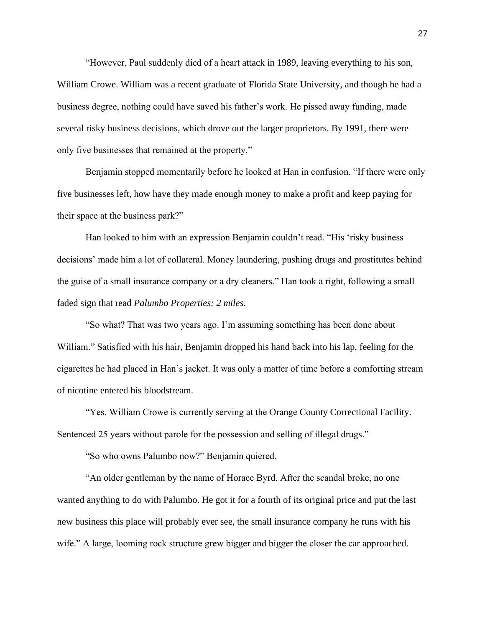"However, Paul suddenly died of a heart attack in 1989, leaving everything to his son, William Crowe. William was a recent graduate of Florida State University, and though he had a business degree, nothing could have saved his father's work. He pissed away funding, made several risky business decisions, which drove out the larger proprietors. By 1991, there were only five businesses that remained at the property."

Benjamin stopped momentarily before he looked at Han in confusion. "If there were only five businesses left, how have they made enough money to make a profit and keep paying for their space at the business park?"

Han looked to him with an expression Benjamin couldn't read. "His 'risky business decisions' made him a lot of collateral. Money laundering, pushing drugs and prostitutes behind the guise of a small insurance company or a dry cleaners." Han took a right, following a small faded sign that read *Palumbo Properties: 2 miles*.

"So what? That was two years ago. I'm assuming something has been done about William." Satisfied with his hair, Benjamin dropped his hand back into his lap, feeling for the cigarettes he had placed in Han's jacket. It was only a matter of time before a comforting stream of nicotine entered his bloodstream.

"Yes. William Crowe is currently serving at the Orange County Correctional Facility. Sentenced 25 years without parole for the possession and selling of illegal drugs."

"So who owns Palumbo now?" Benjamin quiered.

"An older gentleman by the name of Horace Byrd. After the scandal broke, no one wanted anything to do with Palumbo. He got it for a fourth of its original price and put the last new business this place will probably ever see, the small insurance company he runs with his wife." A large, looming rock structure grew bigger and bigger the closer the car approached.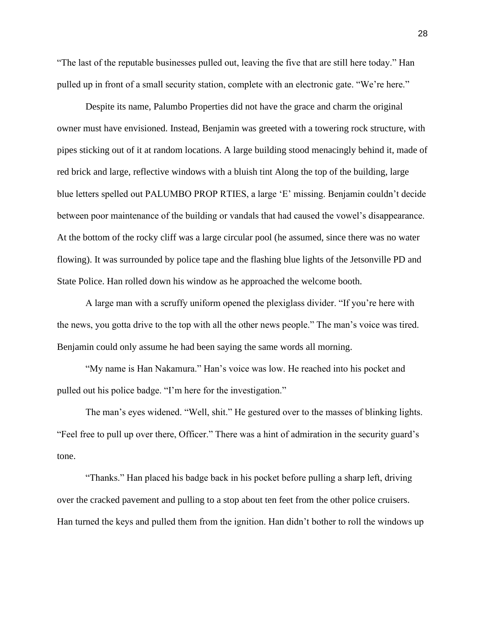"The last of the reputable businesses pulled out, leaving the five that are still here today." Han pulled up in front of a small security station, complete with an electronic gate. "We're here."

Despite its name, Palumbo Properties did not have the grace and charm the original owner must have envisioned. Instead, Benjamin was greeted with a towering rock structure, with pipes sticking out of it at random locations. A large building stood menacingly behind it, made of red brick and large, reflective windows with a bluish tint Along the top of the building, large blue letters spelled out PALUMBO PROP RTIES, a large 'E' missing. Benjamin couldn't decide between poor maintenance of the building or vandals that had caused the vowel's disappearance. At the bottom of the rocky cliff was a large circular pool (he assumed, since there was no water flowing). It was surrounded by police tape and the flashing blue lights of the Jetsonville PD and State Police. Han rolled down his window as he approached the welcome booth.

A large man with a scruffy uniform opened the plexiglass divider. "If you're here with the news, you gotta drive to the top with all the other news people." The man's voice was tired. Benjamin could only assume he had been saying the same words all morning.

"My name is Han Nakamura." Han's voice was low. He reached into his pocket and pulled out his police badge. "I'm here for the investigation."

The man's eyes widened. "Well, shit." He gestured over to the masses of blinking lights. "Feel free to pull up over there, Officer." There was a hint of admiration in the security guard's tone.

"Thanks." Han placed his badge back in his pocket before pulling a sharp left, driving over the cracked pavement and pulling to a stop about ten feet from the other police cruisers. Han turned the keys and pulled them from the ignition. Han didn't bother to roll the windows up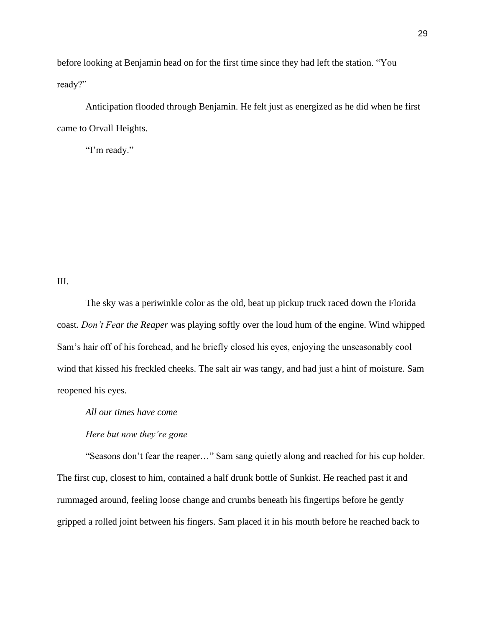before looking at Benjamin head on for the first time since they had left the station. "You ready?"

Anticipation flooded through Benjamin. He felt just as energized as he did when he first came to Orvall Heights.

"I'm ready."

## III.

The sky was a periwinkle color as the old, beat up pickup truck raced down the Florida coast. *Don't Fear the Reaper* was playing softly over the loud hum of the engine. Wind whipped Sam's hair off of his forehead, and he briefly closed his eyes, enjoying the unseasonably cool wind that kissed his freckled cheeks. The salt air was tangy, and had just a hint of moisture. Sam reopened his eyes.

*All our times have come*

*Here but now they're gone*

"Seasons don't fear the reaper…" Sam sang quietly along and reached for his cup holder. The first cup, closest to him, contained a half drunk bottle of Sunkist. He reached past it and rummaged around, feeling loose change and crumbs beneath his fingertips before he gently gripped a rolled joint between his fingers. Sam placed it in his mouth before he reached back to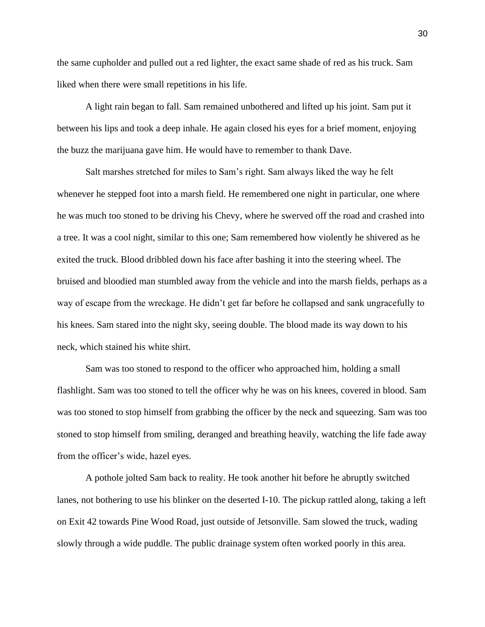the same cupholder and pulled out a red lighter, the exact same shade of red as his truck. Sam liked when there were small repetitions in his life.

A light rain began to fall. Sam remained unbothered and lifted up his joint. Sam put it between his lips and took a deep inhale. He again closed his eyes for a brief moment, enjoying the buzz the marijuana gave him. He would have to remember to thank Dave.

Salt marshes stretched for miles to Sam's right. Sam always liked the way he felt whenever he stepped foot into a marsh field. He remembered one night in particular, one where he was much too stoned to be driving his Chevy, where he swerved off the road and crashed into a tree. It was a cool night, similar to this one; Sam remembered how violently he shivered as he exited the truck. Blood dribbled down his face after bashing it into the steering wheel. The bruised and bloodied man stumbled away from the vehicle and into the marsh fields, perhaps as a way of escape from the wreckage. He didn't get far before he collapsed and sank ungracefully to his knees. Sam stared into the night sky, seeing double. The blood made its way down to his neck, which stained his white shirt.

Sam was too stoned to respond to the officer who approached him, holding a small flashlight. Sam was too stoned to tell the officer why he was on his knees, covered in blood. Sam was too stoned to stop himself from grabbing the officer by the neck and squeezing. Sam was too stoned to stop himself from smiling, deranged and breathing heavily, watching the life fade away from the officer's wide, hazel eyes.

A pothole jolted Sam back to reality. He took another hit before he abruptly switched lanes, not bothering to use his blinker on the deserted I-10. The pickup rattled along, taking a left on Exit 42 towards Pine Wood Road, just outside of Jetsonville. Sam slowed the truck, wading slowly through a wide puddle. The public drainage system often worked poorly in this area.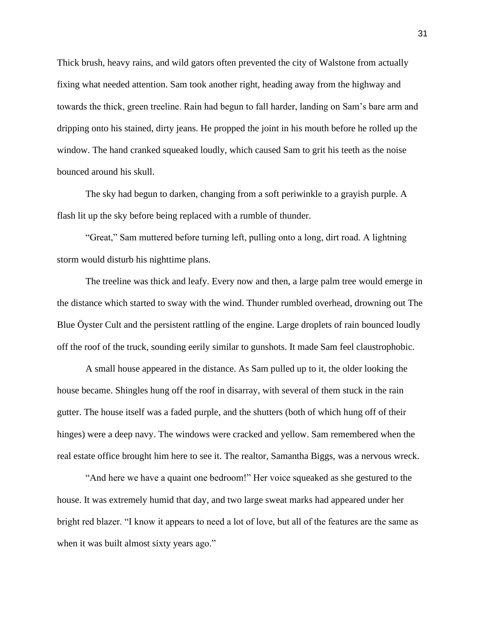Thick brush, heavy rains, and wild gators often prevented the city of Walstone from actually fixing what needed attention. Sam took another right, heading away from the highway and towards the thick, green treeline. Rain had begun to fall harder, landing on Sam's bare arm and dripping onto his stained, dirty jeans. He propped the joint in his mouth before he rolled up the window. The hand cranked squeaked loudly, which caused Sam to grit his teeth as the noise bounced around his skull.

The sky had begun to darken, changing from a soft periwinkle to a grayish purple. A flash lit up the sky before being replaced with a rumble of thunder.

"Great," Sam muttered before turning left, pulling onto a long, dirt road. A lightning storm would disturb his nighttime plans.

The treeline was thick and leafy. Every now and then, a large palm tree would emerge in the distance which started to sway with the wind. Thunder rumbled overhead, drowning out The Blue Öyster Cult and the persistent rattling of the engine. Large droplets of rain bounced loudly off the roof of the truck, sounding eerily similar to gunshots. It made Sam feel claustrophobic.

A small house appeared in the distance. As Sam pulled up to it, the older looking the house became. Shingles hung off the roof in disarray, with several of them stuck in the rain gutter. The house itself was a faded purple, and the shutters (both of which hung off of their hinges) were a deep navy. The windows were cracked and yellow. Sam remembered when the real estate office brought him here to see it. The realtor, Samantha Biggs, was a nervous wreck.

"And here we have a quaint one bedroom!" Her voice squeaked as she gestured to the house. It was extremely humid that day, and two large sweat marks had appeared under her bright red blazer. "I know it appears to need a lot of love, but all of the features are the same as when it was built almost sixty years ago."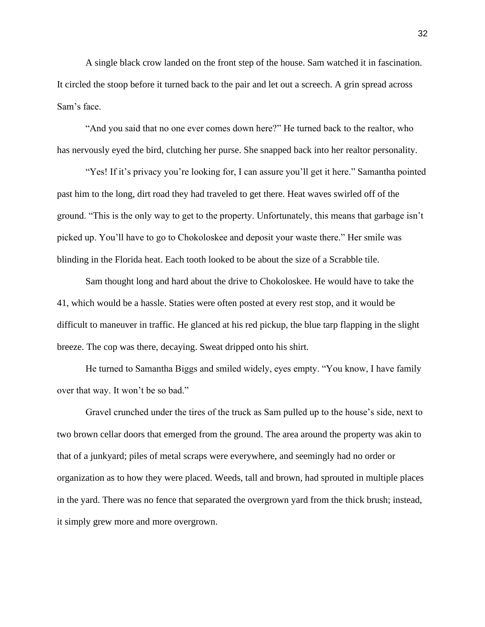A single black crow landed on the front step of the house. Sam watched it in fascination. It circled the stoop before it turned back to the pair and let out a screech. A grin spread across Sam's face.

"And you said that no one ever comes down here?" He turned back to the realtor, who has nervously eyed the bird, clutching her purse. She snapped back into her realtor personality.

"Yes! If it's privacy you're looking for, I can assure you'll get it here." Samantha pointed past him to the long, dirt road they had traveled to get there. Heat waves swirled off of the ground. "This is the only way to get to the property. Unfortunately, this means that garbage isn't picked up. You'll have to go to Chokoloskee and deposit your waste there." Her smile was blinding in the Florida heat. Each tooth looked to be about the size of a Scrabble tile.

Sam thought long and hard about the drive to Chokoloskee. He would have to take the 41, which would be a hassle. Staties were often posted at every rest stop, and it would be difficult to maneuver in traffic. He glanced at his red pickup, the blue tarp flapping in the slight breeze. The cop was there, decaying. Sweat dripped onto his shirt.

He turned to Samantha Biggs and smiled widely, eyes empty. "You know, I have family over that way. It won't be so bad."

Gravel crunched under the tires of the truck as Sam pulled up to the house's side, next to two brown cellar doors that emerged from the ground. The area around the property was akin to that of a junkyard; piles of metal scraps were everywhere, and seemingly had no order or organization as to how they were placed. Weeds, tall and brown, had sprouted in multiple places in the yard. There was no fence that separated the overgrown yard from the thick brush; instead, it simply grew more and more overgrown.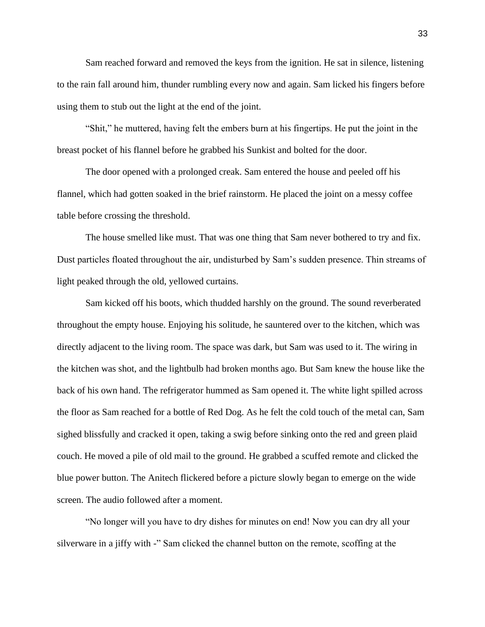Sam reached forward and removed the keys from the ignition. He sat in silence, listening to the rain fall around him, thunder rumbling every now and again. Sam licked his fingers before using them to stub out the light at the end of the joint.

"Shit," he muttered, having felt the embers burn at his fingertips. He put the joint in the breast pocket of his flannel before he grabbed his Sunkist and bolted for the door.

The door opened with a prolonged creak. Sam entered the house and peeled off his flannel, which had gotten soaked in the brief rainstorm. He placed the joint on a messy coffee table before crossing the threshold.

The house smelled like must. That was one thing that Sam never bothered to try and fix. Dust particles floated throughout the air, undisturbed by Sam's sudden presence. Thin streams of light peaked through the old, yellowed curtains.

Sam kicked off his boots, which thudded harshly on the ground. The sound reverberated throughout the empty house. Enjoying his solitude, he sauntered over to the kitchen, which was directly adjacent to the living room. The space was dark, but Sam was used to it. The wiring in the kitchen was shot, and the lightbulb had broken months ago. But Sam knew the house like the back of his own hand. The refrigerator hummed as Sam opened it. The white light spilled across the floor as Sam reached for a bottle of Red Dog. As he felt the cold touch of the metal can, Sam sighed blissfully and cracked it open, taking a swig before sinking onto the red and green plaid couch. He moved a pile of old mail to the ground. He grabbed a scuffed remote and clicked the blue power button. The Anitech flickered before a picture slowly began to emerge on the wide screen. The audio followed after a moment.

"No longer will you have to dry dishes for minutes on end! Now you can dry all your silverware in a jiffy with -" Sam clicked the channel button on the remote, scoffing at the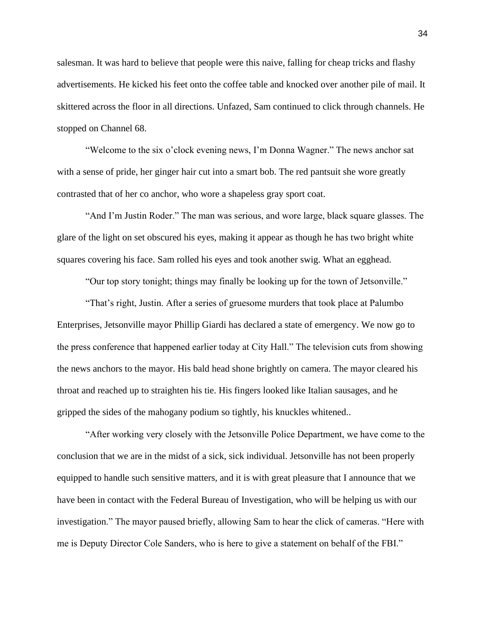salesman. It was hard to believe that people were this naive, falling for cheap tricks and flashy advertisements. He kicked his feet onto the coffee table and knocked over another pile of mail. It skittered across the floor in all directions. Unfazed, Sam continued to click through channels. He stopped on Channel 68.

"Welcome to the six o'clock evening news, I'm Donna Wagner." The news anchor sat with a sense of pride, her ginger hair cut into a smart bob. The red pantsuit she wore greatly contrasted that of her co anchor, who wore a shapeless gray sport coat.

"And I'm Justin Roder." The man was serious, and wore large, black square glasses. The glare of the light on set obscured his eyes, making it appear as though he has two bright white squares covering his face. Sam rolled his eyes and took another swig. What an egghead.

"Our top story tonight; things may finally be looking up for the town of Jetsonville."

"That's right, Justin. After a series of gruesome murders that took place at Palumbo Enterprises, Jetsonville mayor Phillip Giardi has declared a state of emergency. We now go to the press conference that happened earlier today at City Hall." The television cuts from showing the news anchors to the mayor. His bald head shone brightly on camera. The mayor cleared his throat and reached up to straighten his tie. His fingers looked like Italian sausages, and he gripped the sides of the mahogany podium so tightly, his knuckles whitened..

"After working very closely with the Jetsonville Police Department, we have come to the conclusion that we are in the midst of a sick, sick individual. Jetsonville has not been properly equipped to handle such sensitive matters, and it is with great pleasure that I announce that we have been in contact with the Federal Bureau of Investigation, who will be helping us with our investigation." The mayor paused briefly, allowing Sam to hear the click of cameras. "Here with me is Deputy Director Cole Sanders, who is here to give a statement on behalf of the FBI."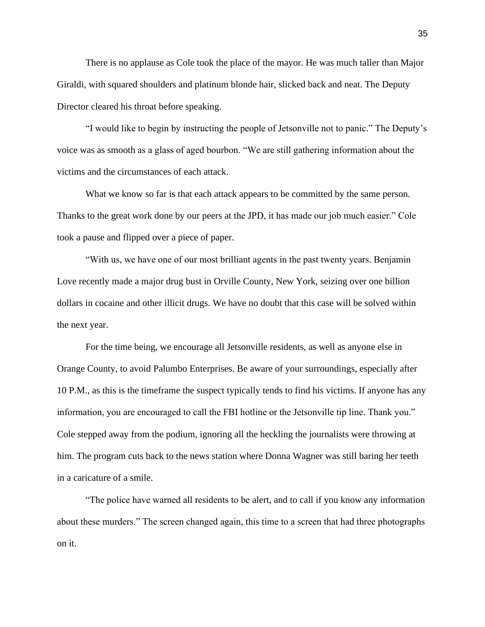There is no applause as Cole took the place of the mayor. He was much taller than Major Giraldi, with squared shoulders and platinum blonde hair, slicked back and neat. The Deputy Director cleared his throat before speaking.

"I would like to begin by instructing the people of Jetsonville not to panic." The Deputy's voice was as smooth as a glass of aged bourbon. "We are still gathering information about the victims and the circumstances of each attack.

What we know so far is that each attack appears to be committed by the same person. Thanks to the great work done by our peers at the JPD, it has made our job much easier." Cole took a pause and flipped over a piece of paper.

"With us, we have one of our most brilliant agents in the past twenty years. Benjamin Love recently made a major drug bust in Orville County, New York, seizing over one billion dollars in cocaine and other illicit drugs. We have no doubt that this case will be solved within the next year.

For the time being, we encourage all Jetsonville residents, as well as anyone else in Orange County, to avoid Palumbo Enterprises. Be aware of your surroundings, especially after 10 P.M., as this is the timeframe the suspect typically tends to find his victims. If anyone has any information, you are encouraged to call the FBI hotline or the Jetsonville tip line. Thank you." Cole stepped away from the podium, ignoring all the heckling the journalists were throwing at him. The program cuts back to the news station where Donna Wagner was still baring her teeth in a caricature of a smile.

"The police have warned all residents to be alert, and to call if you know any information about these murders." The screen changed again, this time to a screen that had three photographs on it.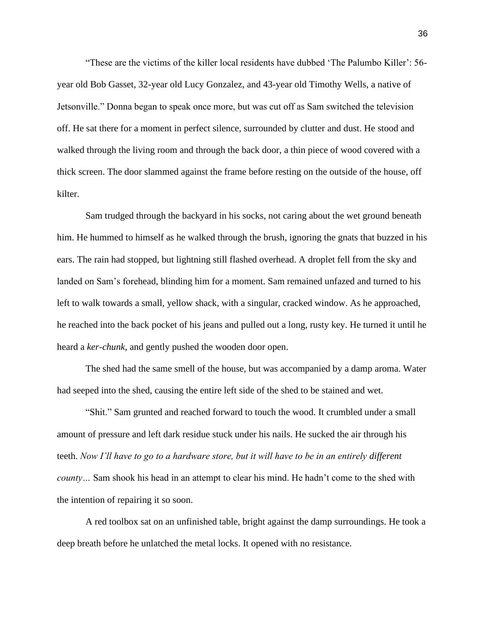"These are the victims of the killer local residents have dubbed 'The Palumbo Killer': 56 year old Bob Gasset, 32-year old Lucy Gonzalez, and 43-year old Timothy Wells, a native of Jetsonville." Donna began to speak once more, but was cut off as Sam switched the television off. He sat there for a moment in perfect silence, surrounded by clutter and dust. He stood and walked through the living room and through the back door, a thin piece of wood covered with a thick screen. The door slammed against the frame before resting on the outside of the house, off kilter.

Sam trudged through the backyard in his socks, not caring about the wet ground beneath him. He hummed to himself as he walked through the brush, ignoring the gnats that buzzed in his ears. The rain had stopped, but lightning still flashed overhead. A droplet fell from the sky and landed on Sam's forehead, blinding him for a moment. Sam remained unfazed and turned to his left to walk towards a small, yellow shack, with a singular, cracked window. As he approached, he reached into the back pocket of his jeans and pulled out a long, rusty key. He turned it until he heard a *ker-chunk*, and gently pushed the wooden door open.

The shed had the same smell of the house, but was accompanied by a damp aroma. Water had seeped into the shed, causing the entire left side of the shed to be stained and wet.

"Shit." Sam grunted and reached forward to touch the wood. It crumbled under a small amount of pressure and left dark residue stuck under his nails. He sucked the air through his teeth. *Now I'll have to go to a hardware store, but it will have to be in an entirely different county…* Sam shook his head in an attempt to clear his mind. He hadn't come to the shed with the intention of repairing it so soon.

A red toolbox sat on an unfinished table, bright against the damp surroundings. He took a deep breath before he unlatched the metal locks. It opened with no resistance.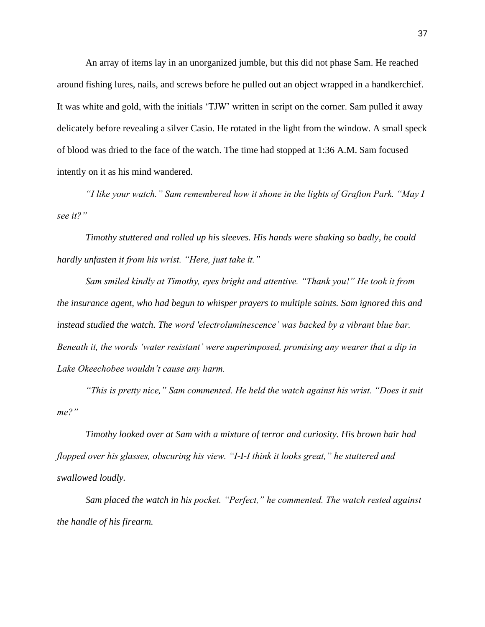An array of items lay in an unorganized jumble, but this did not phase Sam. He reached around fishing lures, nails, and screws before he pulled out an object wrapped in a handkerchief. It was white and gold, with the initials 'TJW' written in script on the corner. Sam pulled it away delicately before revealing a silver Casio. He rotated in the light from the window. A small speck of blood was dried to the face of the watch. The time had stopped at 1:36 A.M. Sam focused intently on it as his mind wandered.

*"I like your watch." Sam remembered how it shone in the lights of Grafton Park. "May I see it?"*

*Timothy stuttered and rolled up his sleeves. His hands were shaking so badly, he could hardly unfasten it from his wrist. "Here, just take it."*

*Sam smiled kindly at Timothy, eyes bright and attentive. "Thank you!" He took it from the insurance agent, who had begun to whisper prayers to multiple saints. Sam ignored this and instead studied the watch. The word 'electroluminescence' was backed by a vibrant blue bar. Beneath it, the words 'water resistant' were superimposed, promising any wearer that a dip in Lake Okeechobee wouldn't cause any harm.*

*"This is pretty nice," Sam commented. He held the watch against his wrist. "Does it suit me?"*

*Timothy looked over at Sam with a mixture of terror and curiosity. His brown hair had flopped over his glasses, obscuring his view. "I-I-I think it looks great," he stuttered and swallowed loudly.*

*Sam placed the watch in his pocket. "Perfect," he commented. The watch rested against the handle of his firearm.*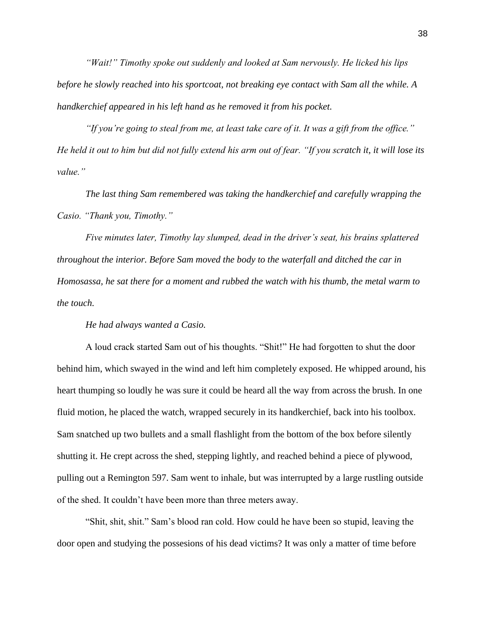*"Wait!" Timothy spoke out suddenly and looked at Sam nervously. He licked his lips before he slowly reached into his sportcoat, not breaking eye contact with Sam all the while. A handkerchief appeared in his left hand as he removed it from his pocket.*

*"If you're going to steal from me, at least take care of it. It was a gift from the office." He held it out to him but did not fully extend his arm out of fear. "If you scratch it, it will lose its value."*

*The last thing Sam remembered was taking the handkerchief and carefully wrapping the Casio. "Thank you, Timothy."*

*Five minutes later, Timothy lay slumped, dead in the driver's seat, his brains splattered throughout the interior. Before Sam moved the body to the waterfall and ditched the car in Homosassa, he sat there for a moment and rubbed the watch with his thumb, the metal warm to the touch.* 

*He had always wanted a Casio.*

A loud crack started Sam out of his thoughts. "Shit!" He had forgotten to shut the door behind him, which swayed in the wind and left him completely exposed. He whipped around, his heart thumping so loudly he was sure it could be heard all the way from across the brush. In one fluid motion, he placed the watch, wrapped securely in its handkerchief, back into his toolbox. Sam snatched up two bullets and a small flashlight from the bottom of the box before silently shutting it. He crept across the shed, stepping lightly, and reached behind a piece of plywood, pulling out a Remington 597. Sam went to inhale, but was interrupted by a large rustling outside of the shed. It couldn't have been more than three meters away.

"Shit, shit, shit." Sam's blood ran cold. How could he have been so stupid, leaving the door open and studying the possesions of his dead victims? It was only a matter of time before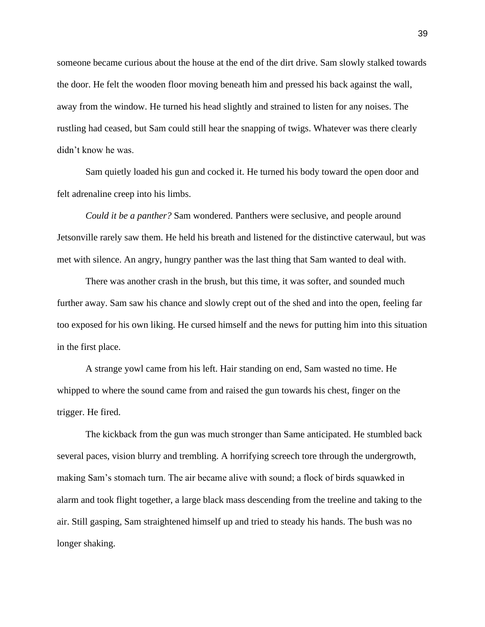someone became curious about the house at the end of the dirt drive. Sam slowly stalked towards the door. He felt the wooden floor moving beneath him and pressed his back against the wall, away from the window. He turned his head slightly and strained to listen for any noises. The rustling had ceased, but Sam could still hear the snapping of twigs. Whatever was there clearly didn't know he was.

Sam quietly loaded his gun and cocked it. He turned his body toward the open door and felt adrenaline creep into his limbs.

*Could it be a panther?* Sam wondered. Panthers were seclusive, and people around Jetsonville rarely saw them. He held his breath and listened for the distinctive caterwaul, but was met with silence. An angry, hungry panther was the last thing that Sam wanted to deal with.

There was another crash in the brush, but this time, it was softer, and sounded much further away. Sam saw his chance and slowly crept out of the shed and into the open, feeling far too exposed for his own liking. He cursed himself and the news for putting him into this situation in the first place.

A strange yowl came from his left. Hair standing on end, Sam wasted no time. He whipped to where the sound came from and raised the gun towards his chest, finger on the trigger. He fired.

The kickback from the gun was much stronger than Same anticipated. He stumbled back several paces, vision blurry and trembling. A horrifying screech tore through the undergrowth, making Sam's stomach turn. The air became alive with sound; a flock of birds squawked in alarm and took flight together, a large black mass descending from the treeline and taking to the air. Still gasping, Sam straightened himself up and tried to steady his hands. The bush was no longer shaking.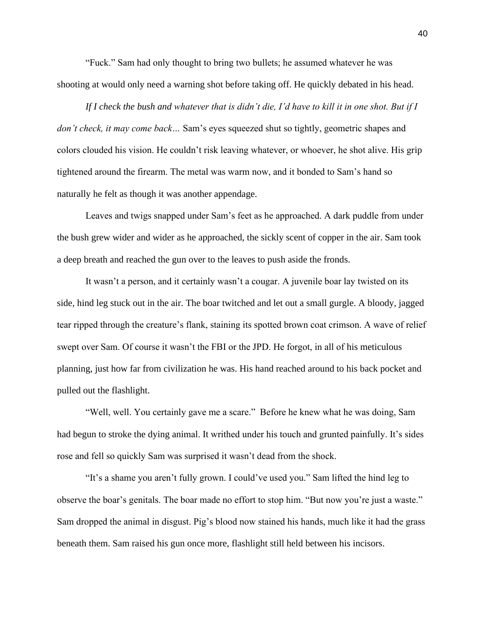"Fuck." Sam had only thought to bring two bullets; he assumed whatever he was shooting at would only need a warning shot before taking off. He quickly debated in his head.

*If I check the bush and whatever that is didn't die, I'd have to kill it in one shot. But if I don't check, it may come back…* Sam's eyes squeezed shut so tightly, geometric shapes and colors clouded his vision. He couldn't risk leaving whatever, or whoever, he shot alive. His grip tightened around the firearm. The metal was warm now, and it bonded to Sam's hand so naturally he felt as though it was another appendage.

Leaves and twigs snapped under Sam's feet as he approached. A dark puddle from under the bush grew wider and wider as he approached, the sickly scent of copper in the air. Sam took a deep breath and reached the gun over to the leaves to push aside the fronds.

It wasn't a person, and it certainly wasn't a cougar. A juvenile boar lay twisted on its side, hind leg stuck out in the air. The boar twitched and let out a small gurgle. A bloody, jagged tear ripped through the creature's flank, staining its spotted brown coat crimson. A wave of relief swept over Sam. Of course it wasn't the FBI or the JPD. He forgot, in all of his meticulous planning, just how far from civilization he was. His hand reached around to his back pocket and pulled out the flashlight.

"Well, well. You certainly gave me a scare." Before he knew what he was doing, Sam had begun to stroke the dying animal. It writhed under his touch and grunted painfully. It's sides rose and fell so quickly Sam was surprised it wasn't dead from the shock.

"It's a shame you aren't fully grown. I could've used you." Sam lifted the hind leg to observe the boar's genitals. The boar made no effort to stop him. "But now you're just a waste." Sam dropped the animal in disgust. Pig's blood now stained his hands, much like it had the grass beneath them. Sam raised his gun once more, flashlight still held between his incisors.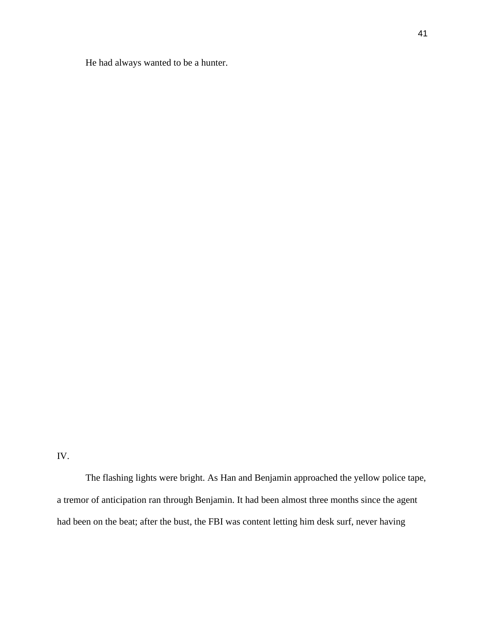He had always wanted to be a hunter.

The flashing lights were bright. As Han and Benjamin approached the yellow police tape, a tremor of anticipation ran through Benjamin. It had been almost three months since the agent had been on the beat; after the bust, the FBI was content letting him desk surf, never having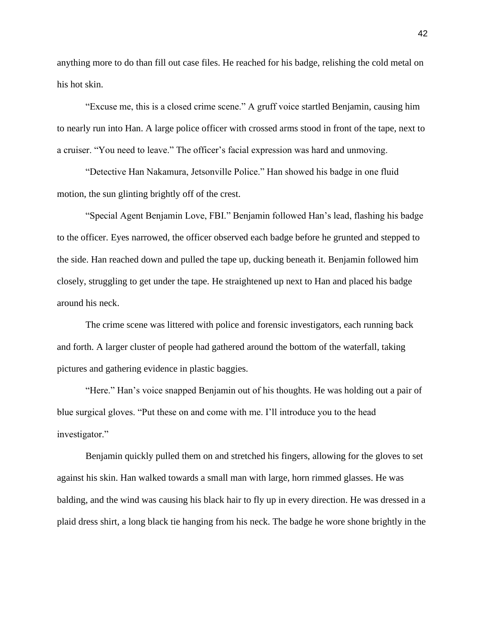anything more to do than fill out case files. He reached for his badge, relishing the cold metal on his hot skin.

"Excuse me, this is a closed crime scene." A gruff voice startled Benjamin, causing him to nearly run into Han. A large police officer with crossed arms stood in front of the tape, next to a cruiser. "You need to leave." The officer's facial expression was hard and unmoving.

"Detective Han Nakamura, Jetsonville Police." Han showed his badge in one fluid motion, the sun glinting brightly off of the crest.

"Special Agent Benjamin Love, FBI." Benjamin followed Han's lead, flashing his badge to the officer. Eyes narrowed, the officer observed each badge before he grunted and stepped to the side. Han reached down and pulled the tape up, ducking beneath it. Benjamin followed him closely, struggling to get under the tape. He straightened up next to Han and placed his badge around his neck.

The crime scene was littered with police and forensic investigators, each running back and forth. A larger cluster of people had gathered around the bottom of the waterfall, taking pictures and gathering evidence in plastic baggies.

"Here." Han's voice snapped Benjamin out of his thoughts. He was holding out a pair of blue surgical gloves. "Put these on and come with me. I'll introduce you to the head investigator."

Benjamin quickly pulled them on and stretched his fingers, allowing for the gloves to set against his skin. Han walked towards a small man with large, horn rimmed glasses. He was balding, and the wind was causing his black hair to fly up in every direction. He was dressed in a plaid dress shirt, a long black tie hanging from his neck. The badge he wore shone brightly in the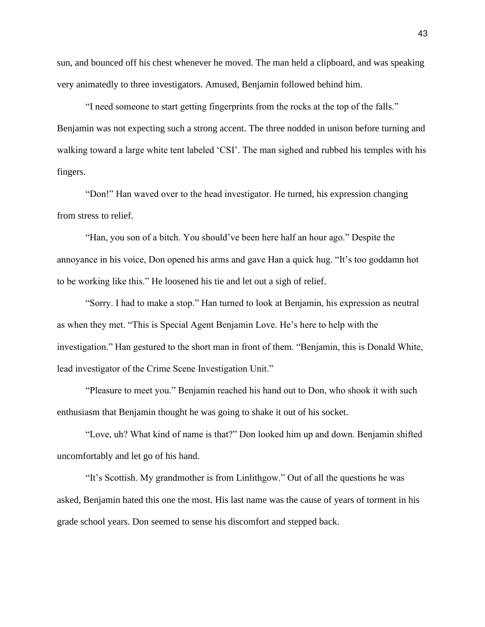sun, and bounced off his chest whenever he moved. The man held a clipboard, and was speaking very animatedly to three investigators. Amused, Benjamin followed behind him.

"I need someone to start getting fingerprints from the rocks at the top of the falls." Benjamin was not expecting such a strong accent. The three nodded in unison before turning and walking toward a large white tent labeled 'CSI'. The man sighed and rubbed his temples with his fingers.

"Don!" Han waved over to the head investigator. He turned, his expression changing from stress to relief.

"Han, you son of a bitch. You should've been here half an hour ago." Despite the annoyance in his voice, Don opened his arms and gave Han a quick hug. "It's too goddamn hot to be working like this." He loosened his tie and let out a sigh of relief.

"Sorry. I had to make a stop." Han turned to look at Benjamin, his expression as neutral as when they met. "This is Special Agent Benjamin Love. He's here to help with the investigation." Han gestured to the short man in front of them. "Benjamin, this is Donald White, lead investigator of the Crime Scene Investigation Unit."

"Pleasure to meet you." Benjamin reached his hand out to Don, who shook it with such enthusiasm that Benjamin thought he was going to shake it out of his socket.

"Love, uh? What kind of name is that?" Don looked him up and down. Benjamin shifted uncomfortably and let go of his hand.

"It's Scottish. My grandmother is from Linlithgow." Out of all the questions he was asked, Benjamin hated this one the most. His last name was the cause of years of torment in his grade school years. Don seemed to sense his discomfort and stepped back.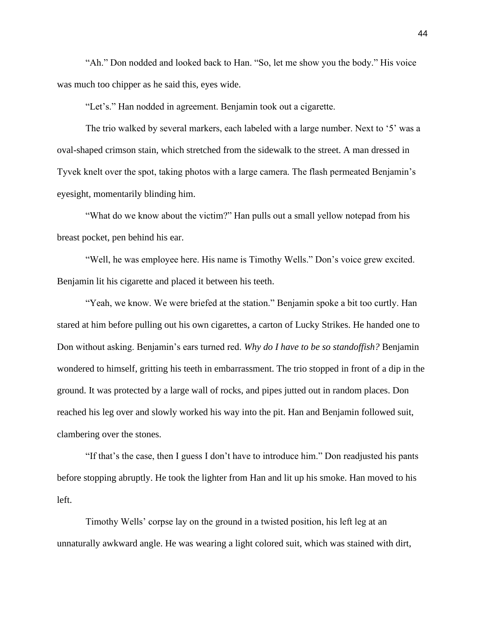"Ah." Don nodded and looked back to Han. "So, let me show you the body." His voice was much too chipper as he said this, eyes wide.

"Let's." Han nodded in agreement. Benjamin took out a cigarette.

The trio walked by several markers, each labeled with a large number. Next to '5' was a oval-shaped crimson stain, which stretched from the sidewalk to the street. A man dressed in Tyvek knelt over the spot, taking photos with a large camera. The flash permeated Benjamin's eyesight, momentarily blinding him.

"What do we know about the victim?" Han pulls out a small yellow notepad from his breast pocket, pen behind his ear.

"Well, he was employee here. His name is Timothy Wells." Don's voice grew excited. Benjamin lit his cigarette and placed it between his teeth.

"Yeah, we know. We were briefed at the station." Benjamin spoke a bit too curtly. Han stared at him before pulling out his own cigarettes, a carton of Lucky Strikes. He handed one to Don without asking. Benjamin's ears turned red. *Why do I have to be so standoffish?* Benjamin wondered to himself, gritting his teeth in embarrassment. The trio stopped in front of a dip in the ground. It was protected by a large wall of rocks, and pipes jutted out in random places. Don reached his leg over and slowly worked his way into the pit. Han and Benjamin followed suit, clambering over the stones.

"If that's the case, then I guess I don't have to introduce him." Don readjusted his pants before stopping abruptly. He took the lighter from Han and lit up his smoke. Han moved to his left.

Timothy Wells' corpse lay on the ground in a twisted position, his left leg at an unnaturally awkward angle. He was wearing a light colored suit, which was stained with dirt,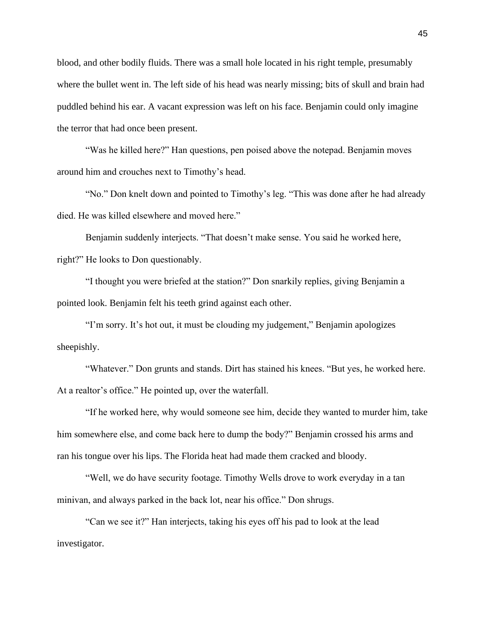blood, and other bodily fluids. There was a small hole located in his right temple, presumably where the bullet went in. The left side of his head was nearly missing; bits of skull and brain had puddled behind his ear. A vacant expression was left on his face. Benjamin could only imagine the terror that had once been present.

"Was he killed here?" Han questions, pen poised above the notepad. Benjamin moves around him and crouches next to Timothy's head.

"No." Don knelt down and pointed to Timothy's leg. "This was done after he had already died. He was killed elsewhere and moved here."

Benjamin suddenly interjects. "That doesn't make sense. You said he worked here, right?" He looks to Don questionably.

"I thought you were briefed at the station?" Don snarkily replies, giving Benjamin a pointed look. Benjamin felt his teeth grind against each other.

"I'm sorry. It's hot out, it must be clouding my judgement," Benjamin apologizes sheepishly.

"Whatever." Don grunts and stands. Dirt has stained his knees. "But yes, he worked here. At a realtor's office." He pointed up, over the waterfall.

"If he worked here, why would someone see him, decide they wanted to murder him, take him somewhere else, and come back here to dump the body?" Benjamin crossed his arms and ran his tongue over his lips. The Florida heat had made them cracked and bloody.

"Well, we do have security footage. Timothy Wells drove to work everyday in a tan minivan, and always parked in the back lot, near his office." Don shrugs.

"Can we see it?" Han interjects, taking his eyes off his pad to look at the lead investigator.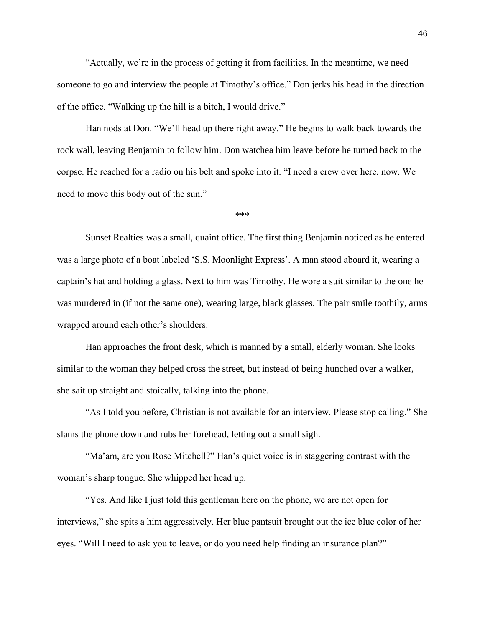"Actually, we're in the process of getting it from facilities. In the meantime, we need someone to go and interview the people at Timothy's office." Don jerks his head in the direction of the office. "Walking up the hill is a bitch, I would drive."

Han nods at Don. "We'll head up there right away." He begins to walk back towards the rock wall, leaving Benjamin to follow him. Don watchea him leave before he turned back to the corpse. He reached for a radio on his belt and spoke into it. "I need a crew over here, now. We need to move this body out of the sun."

\*\*\*

Sunset Realties was a small, quaint office. The first thing Benjamin noticed as he entered was a large photo of a boat labeled 'S.S. Moonlight Express'. A man stood aboard it, wearing a captain's hat and holding a glass. Next to him was Timothy. He wore a suit similar to the one he was murdered in (if not the same one), wearing large, black glasses. The pair smile toothily, arms wrapped around each other's shoulders.

Han approaches the front desk, which is manned by a small, elderly woman. She looks similar to the woman they helped cross the street, but instead of being hunched over a walker, she sait up straight and stoically, talking into the phone.

"As I told you before, Christian is not available for an interview. Please stop calling." She slams the phone down and rubs her forehead, letting out a small sigh.

"Ma'am, are you Rose Mitchell?" Han's quiet voice is in staggering contrast with the woman's sharp tongue. She whipped her head up.

"Yes. And like I just told this gentleman here on the phone, we are not open for interviews," she spits a him aggressively. Her blue pantsuit brought out the ice blue color of her eyes. "Will I need to ask you to leave, or do you need help finding an insurance plan?"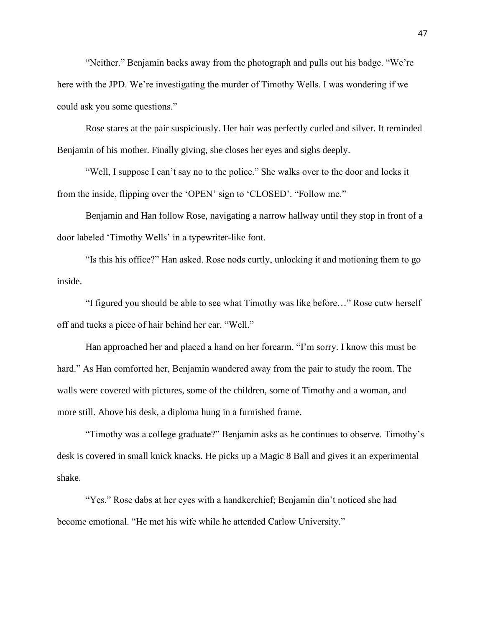"Neither." Benjamin backs away from the photograph and pulls out his badge. "We're here with the JPD. We're investigating the murder of Timothy Wells. I was wondering if we could ask you some questions."

Rose stares at the pair suspiciously. Her hair was perfectly curled and silver. It reminded Benjamin of his mother. Finally giving, she closes her eyes and sighs deeply.

"Well, I suppose I can't say no to the police." She walks over to the door and locks it from the inside, flipping over the 'OPEN' sign to 'CLOSED'. "Follow me."

Benjamin and Han follow Rose, navigating a narrow hallway until they stop in front of a door labeled 'Timothy Wells' in a typewriter-like font.

"Is this his office?" Han asked. Rose nods curtly, unlocking it and motioning them to go inside.

"I figured you should be able to see what Timothy was like before…" Rose cutw herself off and tucks a piece of hair behind her ear. "Well."

Han approached her and placed a hand on her forearm. "I'm sorry. I know this must be hard." As Han comforted her, Benjamin wandered away from the pair to study the room. The walls were covered with pictures, some of the children, some of Timothy and a woman, and more still. Above his desk, a diploma hung in a furnished frame.

"Timothy was a college graduate?" Benjamin asks as he continues to observe. Timothy's desk is covered in small knick knacks. He picks up a Magic 8 Ball and gives it an experimental shake.

"Yes." Rose dabs at her eyes with a handkerchief; Benjamin din't noticed she had become emotional. "He met his wife while he attended Carlow University."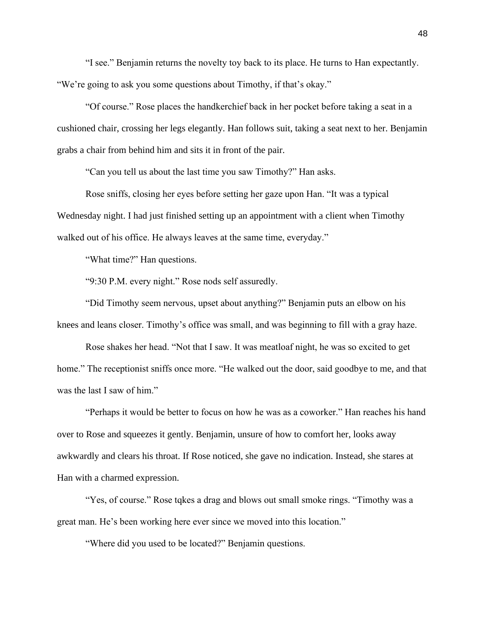"I see." Benjamin returns the novelty toy back to its place. He turns to Han expectantly. "We're going to ask you some questions about Timothy, if that's okay."

"Of course." Rose places the handkerchief back in her pocket before taking a seat in a cushioned chair, crossing her legs elegantly. Han follows suit, taking a seat next to her. Benjamin grabs a chair from behind him and sits it in front of the pair.

"Can you tell us about the last time you saw Timothy?" Han asks.

Rose sniffs, closing her eyes before setting her gaze upon Han. "It was a typical Wednesday night. I had just finished setting up an appointment with a client when Timothy walked out of his office. He always leaves at the same time, everyday."

"What time?" Han questions.

"9:30 P.M. every night." Rose nods self assuredly.

"Did Timothy seem nervous, upset about anything?" Benjamin puts an elbow on his knees and leans closer. Timothy's office was small, and was beginning to fill with a gray haze.

Rose shakes her head. "Not that I saw. It was meatloaf night, he was so excited to get home." The receptionist sniffs once more. "He walked out the door, said goodbye to me, and that was the last I saw of him."

"Perhaps it would be better to focus on how he was as a coworker." Han reaches his hand over to Rose and squeezes it gently. Benjamin, unsure of how to comfort her, looks away awkwardly and clears his throat. If Rose noticed, she gave no indication. Instead, she stares at Han with a charmed expression.

"Yes, of course." Rose tqkes a drag and blows out small smoke rings. "Timothy was a great man. He's been working here ever since we moved into this location."

"Where did you used to be located?" Benjamin questions.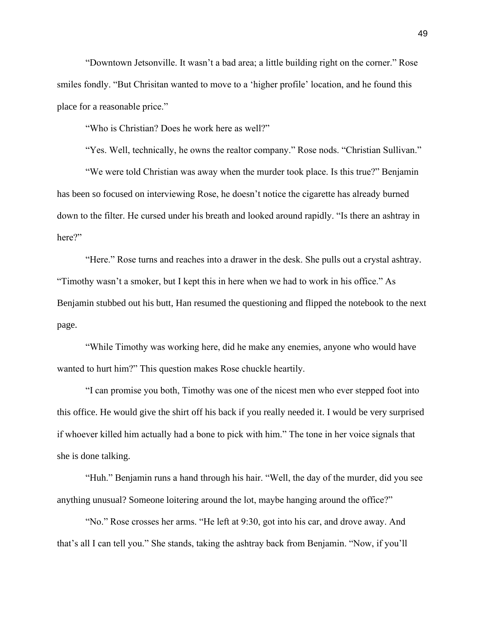"Downtown Jetsonville. It wasn't a bad area; a little building right on the corner." Rose smiles fondly. "But Chrisitan wanted to move to a 'higher profile' location, and he found this place for a reasonable price."

"Who is Christian? Does he work here as well?"

"Yes. Well, technically, he owns the realtor company." Rose nods. "Christian Sullivan."

"We were told Christian was away when the murder took place. Is this true?" Benjamin has been so focused on interviewing Rose, he doesn't notice the cigarette has already burned down to the filter. He cursed under his breath and looked around rapidly. "Is there an ashtray in here?"

"Here." Rose turns and reaches into a drawer in the desk. She pulls out a crystal ashtray. "Timothy wasn't a smoker, but I kept this in here when we had to work in his office." As Benjamin stubbed out his butt, Han resumed the questioning and flipped the notebook to the next page.

"While Timothy was working here, did he make any enemies, anyone who would have wanted to hurt him?" This question makes Rose chuckle heartily.

"I can promise you both, Timothy was one of the nicest men who ever stepped foot into this office. He would give the shirt off his back if you really needed it. I would be very surprised if whoever killed him actually had a bone to pick with him." The tone in her voice signals that she is done talking.

"Huh." Benjamin runs a hand through his hair. "Well, the day of the murder, did you see anything unusual? Someone loitering around the lot, maybe hanging around the office?"

"No." Rose crosses her arms. "He left at 9:30, got into his car, and drove away. And that's all I can tell you." She stands, taking the ashtray back from Benjamin. "Now, if you'll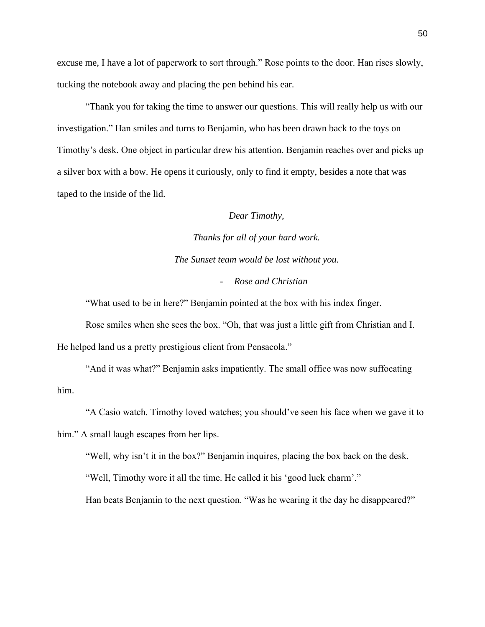excuse me, I have a lot of paperwork to sort through." Rose points to the door. Han rises slowly, tucking the notebook away and placing the pen behind his ear.

"Thank you for taking the time to answer our questions. This will really help us with our investigation." Han smiles and turns to Benjamin, who has been drawn back to the toys on Timothy's desk. One object in particular drew his attention. Benjamin reaches over and picks up a silver box with a bow. He opens it curiously, only to find it empty, besides a note that was taped to the inside of the lid.

## *Dear Timothy,*

*Thanks for all of your hard work. The Sunset team would be lost without you.* - *Rose and Christian*

"What used to be in here?" Benjamin pointed at the box with his index finger.

Rose smiles when she sees the box. "Oh, that was just a little gift from Christian and I. He helped land us a pretty prestigious client from Pensacola."

"And it was what?" Benjamin asks impatiently. The small office was now suffocating him.

"A Casio watch. Timothy loved watches; you should've seen his face when we gave it to

him." A small laugh escapes from her lips.

"Well, why isn't it in the box?" Benjamin inquires, placing the box back on the desk.

"Well, Timothy wore it all the time. He called it his 'good luck charm'."

Han beats Benjamin to the next question. "Was he wearing it the day he disappeared?"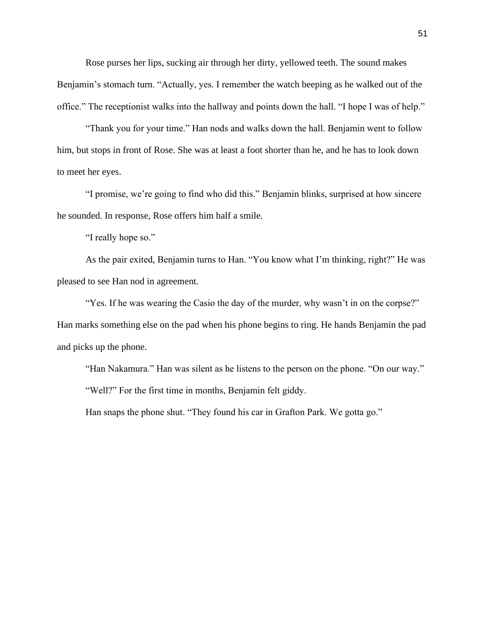Rose purses her lips, sucking air through her dirty, yellowed teeth. The sound makes Benjamin's stomach turn. "Actually, yes. I remember the watch beeping as he walked out of the office." The receptionist walks into the hallway and points down the hall. "I hope I was of help."

"Thank you for your time." Han nods and walks down the hall. Benjamin went to follow him, but stops in front of Rose. She was at least a foot shorter than he, and he has to look down to meet her eyes.

"I promise, we're going to find who did this." Benjamin blinks, surprised at how sincere he sounded. In response, Rose offers him half a smile.

"I really hope so."

As the pair exited, Benjamin turns to Han. "You know what I'm thinking, right?" He was pleased to see Han nod in agreement.

"Yes. If he was wearing the Casio the day of the murder, why wasn't in on the corpse?" Han marks something else on the pad when his phone begins to ring. He hands Benjamin the pad and picks up the phone.

"Han Nakamura." Han was silent as he listens to the person on the phone. "On our way." "Well?" For the first time in months, Benjamin felt giddy.

Han snaps the phone shut. "They found his car in Grafton Park. We gotta go."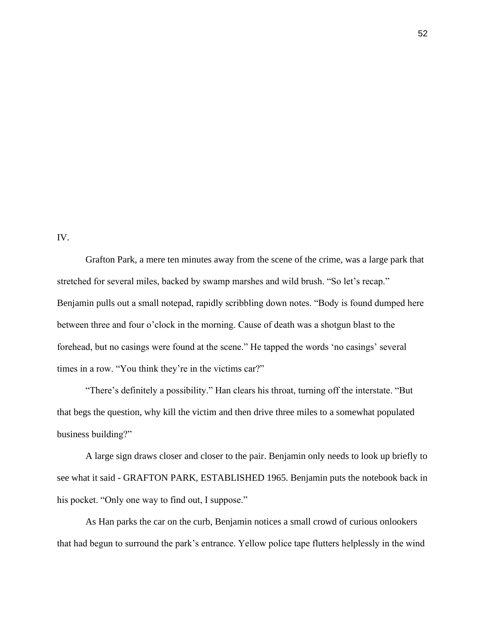IV.

Grafton Park, a mere ten minutes away from the scene of the crime, was a large park that stretched for several miles, backed by swamp marshes and wild brush. "So let's recap." Benjamin pulls out a small notepad, rapidly scribbling down notes. "Body is found dumped here between three and four o'clock in the morning. Cause of death was a shotgun blast to the forehead, but no casings were found at the scene." He tapped the words 'no casings' several times in a row. "You think they're in the victims car?"

"There's definitely a possibility." Han clears his throat, turning off the interstate. "But that begs the question, why kill the victim and then drive three miles to a somewhat populated business building?"

A large sign draws closer and closer to the pair. Benjamin only needs to look up briefly to see what it said - GRAFTON PARK, ESTABLISHED 1965. Benjamin puts the notebook back in his pocket. "Only one way to find out, I suppose."

As Han parks the car on the curb, Benjamin notices a small crowd of curious onlookers that had begun to surround the park's entrance. Yellow police tape flutters helplessly in the wind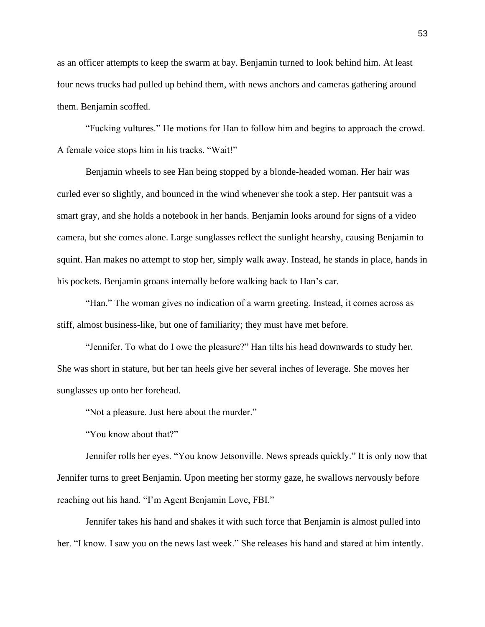as an officer attempts to keep the swarm at bay. Benjamin turned to look behind him. At least four news trucks had pulled up behind them, with news anchors and cameras gathering around them. Benjamin scoffed.

"Fucking vultures." He motions for Han to follow him and begins to approach the crowd. A female voice stops him in his tracks. "Wait!"

Benjamin wheels to see Han being stopped by a blonde-headed woman. Her hair was curled ever so slightly, and bounced in the wind whenever she took a step. Her pantsuit was a smart gray, and she holds a notebook in her hands. Benjamin looks around for signs of a video camera, but she comes alone. Large sunglasses reflect the sunlight hearshy, causing Benjamin to squint. Han makes no attempt to stop her, simply walk away. Instead, he stands in place, hands in his pockets. Benjamin groans internally before walking back to Han's car.

"Han." The woman gives no indication of a warm greeting. Instead, it comes across as stiff, almost business-like, but one of familiarity; they must have met before.

"Jennifer. To what do I owe the pleasure?" Han tilts his head downwards to study her. She was short in stature, but her tan heels give her several inches of leverage. She moves her sunglasses up onto her forehead.

"Not a pleasure. Just here about the murder."

"You know about that?"

Jennifer rolls her eyes. "You know Jetsonville. News spreads quickly." It is only now that Jennifer turns to greet Benjamin. Upon meeting her stormy gaze, he swallows nervously before reaching out his hand. "I'm Agent Benjamin Love, FBI."

Jennifer takes his hand and shakes it with such force that Benjamin is almost pulled into her. "I know. I saw you on the news last week." She releases his hand and stared at him intently.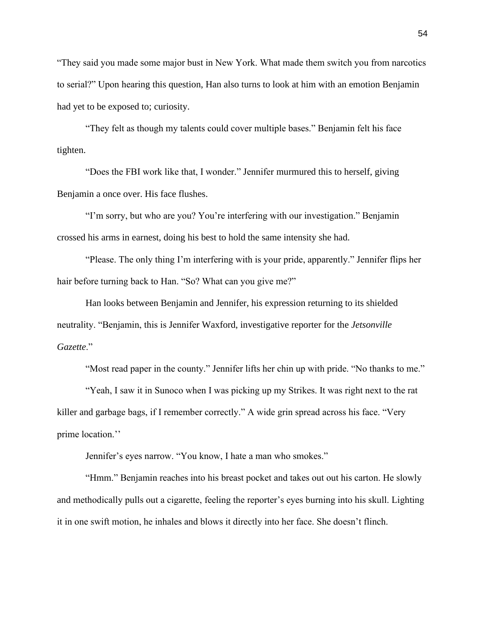"They said you made some major bust in New York. What made them switch you from narcotics to serial?" Upon hearing this question, Han also turns to look at him with an emotion Benjamin had yet to be exposed to; curiosity.

"They felt as though my talents could cover multiple bases." Benjamin felt his face tighten.

"Does the FBI work like that, I wonder." Jennifer murmured this to herself, giving Benjamin a once over. His face flushes.

"I'm sorry, but who are you? You're interfering with our investigation." Benjamin crossed his arms in earnest, doing his best to hold the same intensity she had.

"Please. The only thing I'm interfering with is your pride, apparently." Jennifer flips her hair before turning back to Han. "So? What can you give me?"

Han looks between Benjamin and Jennifer, his expression returning to its shielded neutrality. "Benjamin, this is Jennifer Waxford, investigative reporter for the *Jetsonville Gazette*."

"Most read paper in the county." Jennifer lifts her chin up with pride. "No thanks to me."

"Yeah, I saw it in Sunoco when I was picking up my Strikes. It was right next to the rat killer and garbage bags, if I remember correctly." A wide grin spread across his face. "Very prime location.''

Jennifer's eyes narrow. "You know, I hate a man who smokes."

"Hmm." Benjamin reaches into his breast pocket and takes out out his carton. He slowly and methodically pulls out a cigarette, feeling the reporter's eyes burning into his skull. Lighting it in one swift motion, he inhales and blows it directly into her face. She doesn't flinch.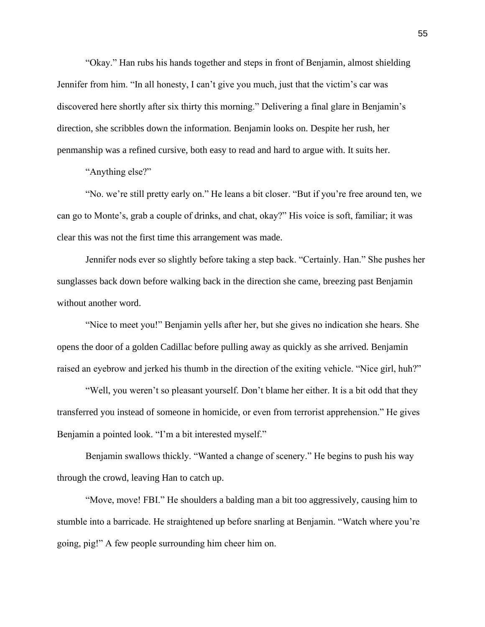"Okay." Han rubs his hands together and steps in front of Benjamin, almost shielding Jennifer from him. "In all honesty, I can't give you much, just that the victim's car was discovered here shortly after six thirty this morning." Delivering a final glare in Benjamin's direction, she scribbles down the information. Benjamin looks on. Despite her rush, her penmanship was a refined cursive, both easy to read and hard to argue with. It suits her.

"Anything else?"

"No. we're still pretty early on." He leans a bit closer. "But if you're free around ten, we can go to Monte's, grab a couple of drinks, and chat, okay?" His voice is soft, familiar; it was clear this was not the first time this arrangement was made.

Jennifer nods ever so slightly before taking a step back. "Certainly. Han." She pushes her sunglasses back down before walking back in the direction she came, breezing past Benjamin without another word.

"Nice to meet you!" Benjamin yells after her, but she gives no indication she hears. She opens the door of a golden Cadillac before pulling away as quickly as she arrived. Benjamin raised an eyebrow and jerked his thumb in the direction of the exiting vehicle. "Nice girl, huh?"

"Well, you weren't so pleasant yourself. Don't blame her either. It is a bit odd that they transferred you instead of someone in homicide, or even from terrorist apprehension." He gives Benjamin a pointed look. "I'm a bit interested myself."

Benjamin swallows thickly. "Wanted a change of scenery." He begins to push his way through the crowd, leaving Han to catch up.

"Move, move! FBI." He shoulders a balding man a bit too aggressively, causing him to stumble into a barricade. He straightened up before snarling at Benjamin. "Watch where you're going, pig!" A few people surrounding him cheer him on.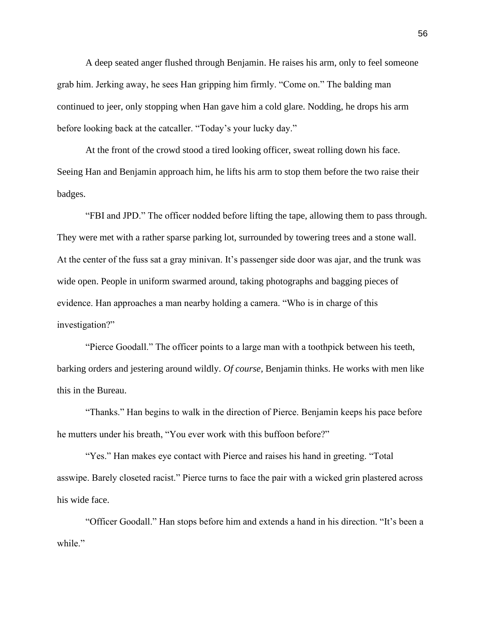A deep seated anger flushed through Benjamin. He raises his arm, only to feel someone grab him. Jerking away, he sees Han gripping him firmly. "Come on." The balding man continued to jeer, only stopping when Han gave him a cold glare. Nodding, he drops his arm before looking back at the catcaller. "Today's your lucky day."

At the front of the crowd stood a tired looking officer, sweat rolling down his face. Seeing Han and Benjamin approach him, he lifts his arm to stop them before the two raise their badges.

"FBI and JPD." The officer nodded before lifting the tape, allowing them to pass through. They were met with a rather sparse parking lot, surrounded by towering trees and a stone wall. At the center of the fuss sat a gray minivan. It's passenger side door was ajar, and the trunk was wide open. People in uniform swarmed around, taking photographs and bagging pieces of evidence. Han approaches a man nearby holding a camera. "Who is in charge of this investigation?"

"Pierce Goodall." The officer points to a large man with a toothpick between his teeth, barking orders and jestering around wildly. *Of course,* Benjamin thinks. He works with men like this in the Bureau.

"Thanks." Han begins to walk in the direction of Pierce. Benjamin keeps his pace before he mutters under his breath, "You ever work with this buffoon before?"

"Yes." Han makes eye contact with Pierce and raises his hand in greeting. "Total asswipe. Barely closeted racist." Pierce turns to face the pair with a wicked grin plastered across his wide face.

"Officer Goodall." Han stops before him and extends a hand in his direction. "It's been a while."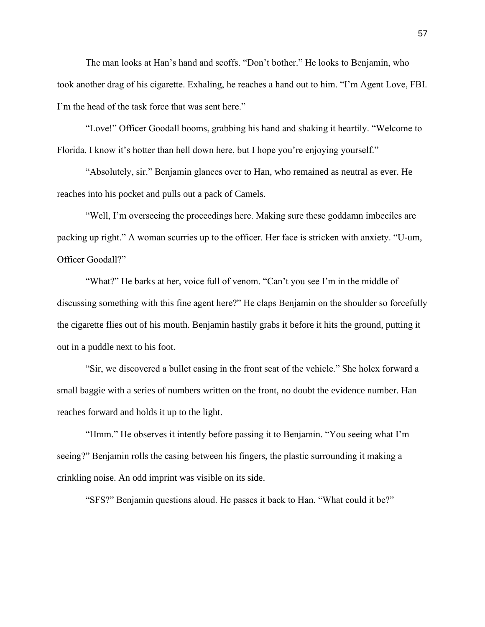The man looks at Han's hand and scoffs. "Don't bother." He looks to Benjamin, who took another drag of his cigarette. Exhaling, he reaches a hand out to him. "I'm Agent Love, FBI. I'm the head of the task force that was sent here."

"Love!" Officer Goodall booms, grabbing his hand and shaking it heartily. "Welcome to Florida. I know it's hotter than hell down here, but I hope you're enjoying yourself."

"Absolutely, sir." Benjamin glances over to Han, who remained as neutral as ever. He reaches into his pocket and pulls out a pack of Camels.

"Well, I'm overseeing the proceedings here. Making sure these goddamn imbeciles are packing up right." A woman scurries up to the officer. Her face is stricken with anxiety. "U-um, Officer Goodall?"

"What?" He barks at her, voice full of venom. "Can't you see I'm in the middle of discussing something with this fine agent here?" He claps Benjamin on the shoulder so forcefully the cigarette flies out of his mouth. Benjamin hastily grabs it before it hits the ground, putting it out in a puddle next to his foot.

"Sir, we discovered a bullet casing in the front seat of the vehicle." She holcx forward a small baggie with a series of numbers written on the front, no doubt the evidence number. Han reaches forward and holds it up to the light.

"Hmm." He observes it intently before passing it to Benjamin. "You seeing what I'm seeing?" Benjamin rolls the casing between his fingers, the plastic surrounding it making a crinkling noise. An odd imprint was visible on its side.

"SFS?" Benjamin questions aloud. He passes it back to Han. "What could it be?"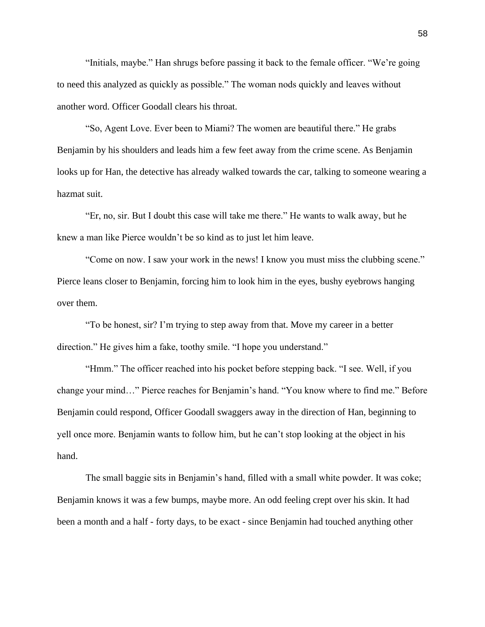"Initials, maybe." Han shrugs before passing it back to the female officer. "We're going to need this analyzed as quickly as possible." The woman nods quickly and leaves without another word. Officer Goodall clears his throat.

"So, Agent Love. Ever been to Miami? The women are beautiful there." He grabs Benjamin by his shoulders and leads him a few feet away from the crime scene. As Benjamin looks up for Han, the detective has already walked towards the car, talking to someone wearing a hazmat suit.

"Er, no, sir. But I doubt this case will take me there." He wants to walk away, but he knew a man like Pierce wouldn't be so kind as to just let him leave.

"Come on now. I saw your work in the news! I know you must miss the clubbing scene." Pierce leans closer to Benjamin, forcing him to look him in the eyes, bushy eyebrows hanging over them.

"To be honest, sir? I'm trying to step away from that. Move my career in a better direction." He gives him a fake, toothy smile. "I hope you understand."

"Hmm." The officer reached into his pocket before stepping back. "I see. Well, if you change your mind…" Pierce reaches for Benjamin's hand. "You know where to find me." Before Benjamin could respond, Officer Goodall swaggers away in the direction of Han, beginning to yell once more. Benjamin wants to follow him, but he can't stop looking at the object in his hand.

The small baggie sits in Benjamin's hand, filled with a small white powder. It was coke; Benjamin knows it was a few bumps, maybe more. An odd feeling crept over his skin. It had been a month and a half - forty days, to be exact - since Benjamin had touched anything other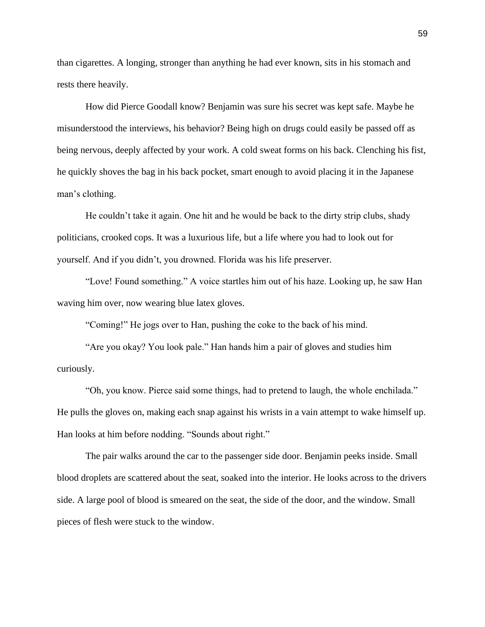than cigarettes. A longing, stronger than anything he had ever known, sits in his stomach and rests there heavily.

How did Pierce Goodall know? Benjamin was sure his secret was kept safe. Maybe he misunderstood the interviews, his behavior? Being high on drugs could easily be passed off as being nervous, deeply affected by your work. A cold sweat forms on his back. Clenching his fist, he quickly shoves the bag in his back pocket, smart enough to avoid placing it in the Japanese man's clothing.

He couldn't take it again. One hit and he would be back to the dirty strip clubs, shady politicians, crooked cops. It was a luxurious life, but a life where you had to look out for yourself. And if you didn't, you drowned. Florida was his life preserver.

"Love! Found something." A voice startles him out of his haze. Looking up, he saw Han waving him over, now wearing blue latex gloves.

"Coming!" He jogs over to Han, pushing the coke to the back of his mind.

"Are you okay? You look pale." Han hands him a pair of gloves and studies him curiously.

"Oh, you know. Pierce said some things, had to pretend to laugh, the whole enchilada." He pulls the gloves on, making each snap against his wrists in a vain attempt to wake himself up. Han looks at him before nodding. "Sounds about right."

The pair walks around the car to the passenger side door. Benjamin peeks inside. Small blood droplets are scattered about the seat, soaked into the interior. He looks across to the drivers side. A large pool of blood is smeared on the seat, the side of the door, and the window. Small pieces of flesh were stuck to the window.